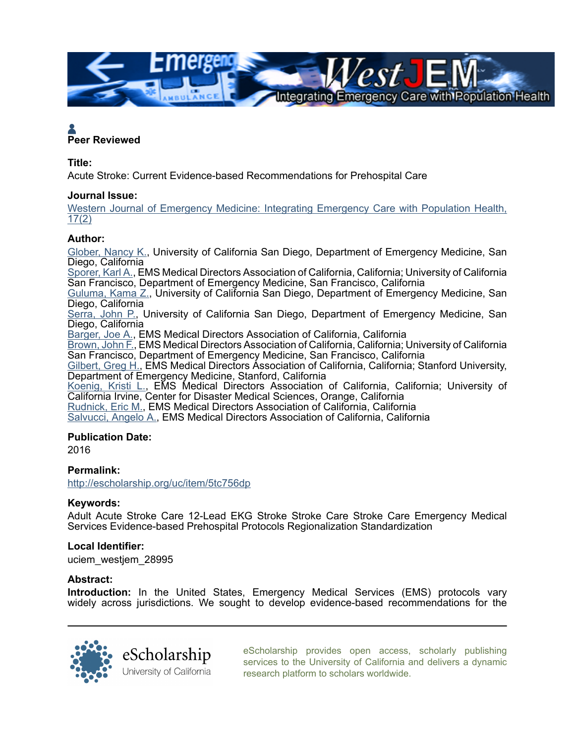

# **Peer Reviewed**

**Title:**

Acute Stroke: Current Evidence-based Recommendations for Prehospital Care

# **Journal Issue:**

[Western Journal of Emergency Medicine: Integrating Emergency Care with Population Health,](http://escholarship.org/uc/uciem_westjem?volume=17;issue=2) [17\(2\)](http://escholarship.org/uc/uciem_westjem?volume=17;issue=2)

# **Author:**

[Glober, Nancy K.](http://escholarship.org/uc/search?creator=Glober%2C%20Nancy%20K.), University of California San Diego, Department of Emergency Medicine, San Diego, California

[Sporer, Karl A.,](http://escholarship.org/uc/search?creator=Sporer%2C%20Karl%20A.) EMS Medical Directors Association of California, California; University of California San Francisco, Department of Emergency Medicine, San Francisco, California

[Guluma, Kama Z.,](http://escholarship.org/uc/search?creator=Guluma%2C%20Kama%20Z.) University of California San Diego, Department of Emergency Medicine, San Diego, California

[Serra, John P.](http://escholarship.org/uc/search?creator=Serra%2C%20John%20P.), University of California San Diego, Department of Emergency Medicine, San Diego, California

[Barger, Joe A.,](http://escholarship.org/uc/search?creator=Barger%2C%20Joe%20A.) EMS Medical Directors Association of California, California

[Brown, John F.,](http://escholarship.org/uc/search?creator=Brown%2C%20John%20F.) EMS Medical Directors Association of California, California; University of California San Francisco, Department of Emergency Medicine, San Francisco, California

[Gilbert, Greg H.,](http://escholarship.org/uc/search?creator=Gilbert%2C%20Greg%20H.) EMS Medical Directors Association of California, California; Stanford University, Department of Emergency Medicine, Stanford, California

[Koenig, Kristi L.,](http://escholarship.org/uc/search?creator=Koenig%2C%20Kristi%20L.) EMS Medical Directors Association of California, California; University of California Irvine, Center for Disaster Medical Sciences, Orange, California

[Rudnick, Eric M.](http://escholarship.org/uc/search?creator=Rudnick%2C%20Eric%20M.), EMS Medical Directors Association of California, California

[Salvucci, Angelo A.,](http://escholarship.org/uc/search?creator=Salvucci%2C%20Angelo%20A.) EMS Medical Directors Association of California, California

# **Publication Date:**

2016

# **Permalink:**

<http://escholarship.org/uc/item/5tc756dp>

#### **Keywords:**

Adult Acute Stroke Care 12-Lead EKG Stroke Stroke Care Stroke Care Emergency Medical Services Evidence-based Prehospital Protocols Regionalization Standardization

#### **Local Identifier:**

uciem\_westjem\_28995

# **Abstract:**

**Introduction:** In the United States, Emergency Medical Services (EMS) protocols vary widely across jurisdictions. We sought to develop evidence-based recommendations for the



[eScholarship provides open access, scholarly publishing](http://escholarship.org) [services to the University of California and delivers a dynamic](http://escholarship.org) [research platform to scholars worldwide.](http://escholarship.org)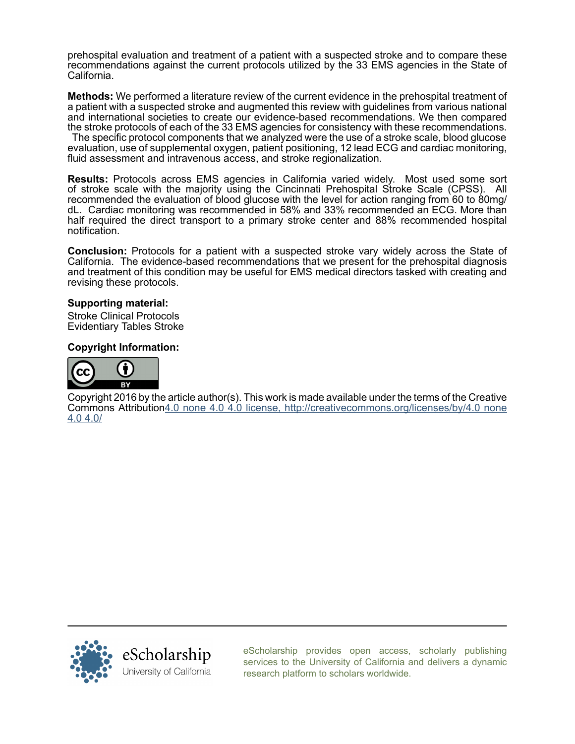prehospital evaluation and treatment of a patient with a suspected stroke and to compare these recommendations against the current protocols utilized by the 33 EMS agencies in the State of California.

**Methods:** We performed a literature review of the current evidence in the prehospital treatment of a patient with a suspected stroke and augmented this review with guidelines from various national and international societies to create our evidence-based recommendations. We then compared the stroke protocols of each of the 33 EMS agencies for consistency with these recommendations. The specific protocol components that we analyzed were the use of a stroke scale, blood glucose

evaluation, use of supplemental oxygen, patient positioning, 12 lead ECG and cardiac monitoring, fluid assessment and intravenous access, and stroke regionalization.

**Results:** Protocols across EMS agencies in California varied widely. Most used some sort of stroke scale with the majority using the Cincinnati Prehospital Stroke Scale (CPSS). All recommended the evaluation of blood glucose with the level for action ranging from 60 to 80mg/ dL. Cardiac monitoring was recommended in 58% and 33% recommended an ECG. More than half required the direct transport to a primary stroke center and 88% recommended hospital notification.

**Conclusion:** Protocols for a patient with a suspected stroke vary widely across the State of California. The evidence-based recommendations that we present for the prehospital diagnosis and treatment of this condition may be useful for EMS medical directors tasked with creating and revising these protocols.

#### **Supporting material:**

Stroke Clinical Protocols Evidentiary Tables Stroke

#### **Copyright Information:**



Copyright 2016 by the article author(s). This work is made available under the terms of the Creative Commons Attribution[4.0 none 4.0 4.0 license, http://creativecommons.org/licenses/by/4.0 none](http://creativecommons.org/licenses/by/4.0 none 4.0 4.0/) [4.0 4.0/](http://creativecommons.org/licenses/by/4.0 none 4.0 4.0/)



[eScholarship provides open access, scholarly publishing](http://escholarship.org) [services to the University of California and delivers a dynamic](http://escholarship.org) [research platform to scholars worldwide.](http://escholarship.org)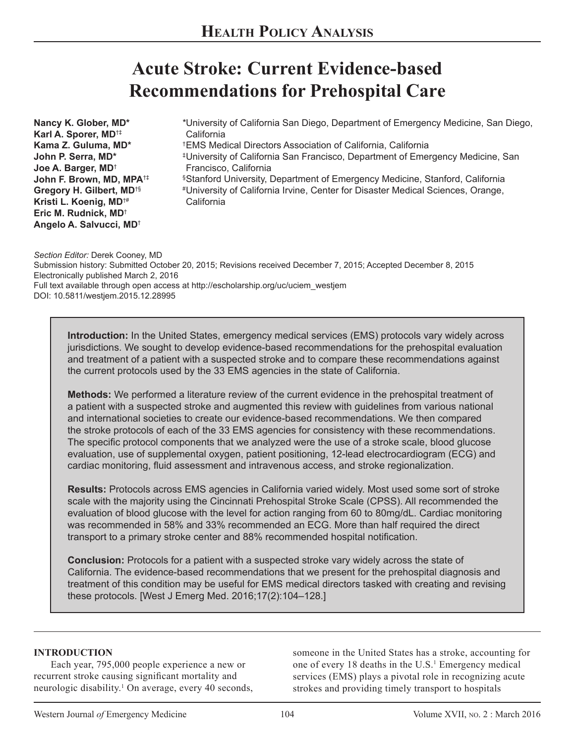# **Acute Stroke: Current Evidence-based Recommendations for Prehospital Care**

**Nancy K. Glober, MD\* Karl A. Sporer, MD**†‡ **Kama Z. Guluma, MD\* John P. Serra, MD\* Joe A. Barger, MD**† **John F. Brown, MD, MPA**†‡ **Gregory H. Gilbert, MD**†§ **Kristi L. Koenig, MD**†# **Eric M. Rudnick, MD**† **Angelo A. Salvucci, MD**†

\*University of California San Diego, Department of Emergency Medicine, San Diego, **California** 

EMS Medical Directors Association of California, California †

University of California San Francisco, Department of Emergency Medicine, San ‡ Francisco, California

Stanford University, Department of Emergency Medicine, Stanford, California §

University of California Irvine, Center for Disaster Medical Sciences, Orange, # California

*Section Editor:* Derek Cooney, MD

Submission history: Submitted October 20, 2015; Revisions received December 7, 2015; Accepted December 8, 2015 Electronically published March 2, 2016

Full text available through open access at http://escholarship.org/uc/uciem\_westjem

DOI: 10.5811/westjem.2015.12.28995

**Introduction:** In the United States, emergency medical services (EMS) protocols vary widely across jurisdictions. We sought to develop evidence-based recommendations for the prehospital evaluation and treatment of a patient with a suspected stroke and to compare these recommendations against the current protocols used by the 33 EMS agencies in the state of California.

**Methods:** We performed a literature review of the current evidence in the prehospital treatment of a patient with a suspected stroke and augmented this review with guidelines from various national and international societies to create our evidence-based recommendations. We then compared the stroke protocols of each of the 33 EMS agencies for consistency with these recommendations. The specific protocol components that we analyzed were the use of a stroke scale, blood glucose evaluation, use of supplemental oxygen, patient positioning, 12-lead electrocardiogram (ECG) and cardiac monitoring, fluid assessment and intravenous access, and stroke regionalization.

**Results:** Protocols across EMS agencies in California varied widely. Most used some sort of stroke scale with the majority using the Cincinnati Prehospital Stroke Scale (CPSS). All recommended the evaluation of blood glucose with the level for action ranging from 60 to 80mg/dL. Cardiac monitoring was recommended in 58% and 33% recommended an ECG. More than half required the direct transport to a primary stroke center and 88% recommended hospital notification.

**Conclusion:** Protocols for a patient with a suspected stroke vary widely across the state of California. The evidence-based recommendations that we present for the prehospital diagnosis and treatment of this condition may be useful for EMS medical directors tasked with creating and revising these protocols. [West J Emerg Med. 2016;17(2):104–128.]

#### **INTRODUCTION**

Each year, 795,000 people experience a new or recurrent stroke causing significant mortality and neurologic disability.<sup>1</sup> On average, every 40 seconds, someone in the United States has a stroke, accounting for one of every  $18$  deaths in the U.S.<sup>1</sup> Emergency medical services (EMS) plays a pivotal role in recognizing acute strokes and providing timely transport to hospitals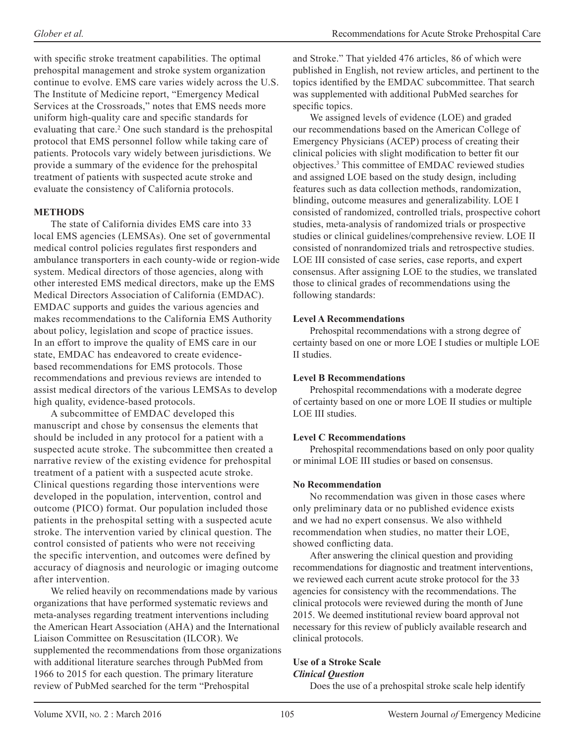with specific stroke treatment capabilities. The optimal prehospital management and stroke system organization continue to evolve. EMS care varies widely across the U.S. The Institute of Medicine report, "Emergency Medical Services at the Crossroads," notes that EMS needs more uniform high-quality care and specific standards for evaluating that care.<sup>2</sup> One such standard is the prehospital protocol that EMS personnel follow while taking care of patients. Protocols vary widely between jurisdictions. We provide a summary of the evidence for the prehospital treatment of patients with suspected acute stroke and evaluate the consistency of California protocols.

# **METHODS**

The state of California divides EMS care into 33 local EMS agencies (LEMSAs). One set of governmental medical control policies regulates first responders and ambulance transporters in each county-wide or region-wide system. Medical directors of those agencies, along with other interested EMS medical directors, make up the EMS Medical Directors Association of California (EMDAC). EMDAC supports and guides the various agencies and makes recommendations to the California EMS Authority about policy, legislation and scope of practice issues. In an effort to improve the quality of EMS care in our state, EMDAC has endeavored to create evidencebased recommendations for EMS protocols. Those recommendations and previous reviews are intended to assist medical directors of the various LEMSAs to develop high quality, evidence-based protocols.

A subcommittee of EMDAC developed this manuscript and chose by consensus the elements that should be included in any protocol for a patient with a suspected acute stroke. The subcommittee then created a narrative review of the existing evidence for prehospital treatment of a patient with a suspected acute stroke. Clinical questions regarding those interventions were developed in the population, intervention, control and outcome (PICO) format. Our population included those patients in the prehospital setting with a suspected acute stroke. The intervention varied by clinical question. The control consisted of patients who were not receiving the specific intervention, and outcomes were defined by accuracy of diagnosis and neurologic or imaging outcome after intervention.

We relied heavily on recommendations made by various organizations that have performed systematic reviews and meta-analyses regarding treatment interventions including the American Heart Association (AHA) and the International Liaison Committee on Resuscitation (ILCOR). We supplemented the recommendations from those organizations with additional literature searches through PubMed from 1966 to 2015 for each question. The primary literature review of PubMed searched for the term "Prehospital

and Stroke." That yielded 476 articles, 86 of which were published in English, not review articles, and pertinent to the topics identified by the EMDAC subcommittee. That search was supplemented with additional PubMed searches for specific topics.

We assigned levels of evidence (LOE) and graded our recommendations based on the American College of Emergency Physicians (ACEP) process of creating their clinical policies with slight modification to better fit our objectives.<sup>3</sup> This committee of EMDAC reviewed studies and assigned LOE based on the study design, including features such as data collection methods, randomization, blinding, outcome measures and generalizability. LOE I consisted of randomized, controlled trials, prospective cohort studies, meta-analysis of randomized trials or prospective studies or clinical guidelines/comprehensive review. LOE II consisted of nonrandomized trials and retrospective studies. LOE III consisted of case series, case reports, and expert consensus. After assigning LOE to the studies, we translated those to clinical grades of recommendations using the following standards:

#### **Level A Recommendations**

Prehospital recommendations with a strong degree of certainty based on one or more LOE I studies or multiple LOE II studies.

#### **Level B Recommendations**

Prehospital recommendations with a moderate degree of certainty based on one or more LOE II studies or multiple LOE III studies.

# **Level C Recommendations**

Prehospital recommendations based on only poor quality or minimal LOE III studies or based on consensus.

#### **No Recommendation**

No recommendation was given in those cases where only preliminary data or no published evidence exists and we had no expert consensus. We also withheld recommendation when studies, no matter their LOE, showed conflicting data.

After answering the clinical question and providing recommendations for diagnostic and treatment interventions, we reviewed each current acute stroke protocol for the 33 agencies for consistency with the recommendations. The clinical protocols were reviewed during the month of June 2015. We deemed institutional review board approval not necessary for this review of publicly available research and clinical protocols.

#### **Use of a Stroke Scale** *Clinical Question*

Does the use of a prehospital stroke scale help identify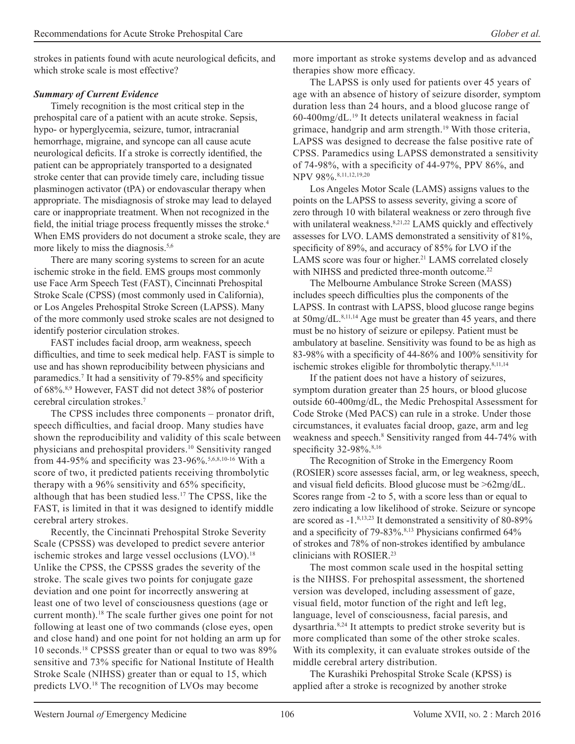strokes in patients found with acute neurological deficits, and which stroke scale is most effective?

# *Summary of Current Evidence*

Timely recognition is the most critical step in the prehospital care of a patient with an acute stroke. Sepsis, hypo- or hyperglycemia, seizure, tumor, intracranial hemorrhage, migraine, and syncope can all cause acute neurological deficits. If a stroke is correctly identified, the patient can be appropriately transported to a designated stroke center that can provide timely care, including tissue plasminogen activator (tPA) or endovascular therapy when appropriate. The misdiagnosis of stroke may lead to delayed care or inappropriate treatment. When not recognized in the field, the initial triage process frequently misses the stroke.<sup>4</sup> When EMS providers do not document a stroke scale, they are more likely to miss the diagnosis.<sup>5,6</sup>

There are many scoring systems to screen for an acute ischemic stroke in the field. EMS groups most commonly use Face Arm Speech Test (FAST), Cincinnati Prehospital Stroke Scale (CPSS) (most commonly used in California), or Los Angeles Prehospital Stroke Screen (LAPSS). Many of the more commonly used stroke scales are not designed to identify posterior circulation strokes.

FAST includes facial droop, arm weakness, speech difficulties, and time to seek medical help. FAST is simple to use and has shown reproducibility between physicians and paramedics.7 It had a sensitivity of 79-85% and specificity of 68%.8,9 However, FAST did not detect 38% of posterior cerebral circulation strokes.7

The CPSS includes three components – pronator drift, speech difficulties, and facial droop. Many studies have shown the reproducibility and validity of this scale between physicians and prehospital providers.10 Sensitivity ranged from 44-95% and specificity was  $23-96\%$ .<sup>5,6,8,10-16</sup> With a score of two, it predicted patients receiving thrombolytic therapy with a 96% sensitivity and 65% specificity, although that has been studied less.17 The CPSS, like the FAST, is limited in that it was designed to identify middle cerebral artery strokes.

Recently, the Cincinnati Prehospital Stroke Severity Scale (CPSSS) was developed to predict severe anterior ischemic strokes and large vessel occlusions  $(LVO).<sup>18</sup>$ Unlike the CPSS, the CPSSS grades the severity of the stroke. The scale gives two points for conjugate gaze deviation and one point for incorrectly answering at least one of two level of consciousness questions (age or current month).18 The scale further gives one point for not following at least one of two commands (close eyes, open and close hand) and one point for not holding an arm up for 10 seconds.18 CPSSS greater than or equal to two was 89% sensitive and 73% specific for National Institute of Health Stroke Scale (NIHSS) greater than or equal to 15, which predicts LVO.18 The recognition of LVOs may become

more important as stroke systems develop and as advanced therapies show more efficacy.

The LAPSS is only used for patients over 45 years of age with an absence of history of seizure disorder, symptom duration less than 24 hours, and a blood glucose range of  $60-400$ mg/dL.<sup>19</sup> It detects unilateral weakness in facial grimace, handgrip and arm strength.19 With those criteria, LAPSS was designed to decrease the false positive rate of CPSS. Paramedics using LAPSS demonstrated a sensitivity of 74-98%, with a specificity of 44-97%, PPV 86%, and NPV 98%.<sup>8,11,12,19,20</sup>

Los Angeles Motor Scale (LAMS) assigns values to the points on the LAPSS to assess severity, giving a score of zero through 10 with bilateral weakness or zero through five with unilateral weakness.<sup>8,21,22</sup> LAMS quickly and effectively assesses for LVO. LAMS demonstrated a sensitivity of 81%, specificity of 89%, and accuracy of 85% for LVO if the LAMS score was four or higher.<sup>21</sup> LAMS correlated closely with NIHSS and predicted three-month outcome.<sup>22</sup>

The Melbourne Ambulance Stroke Screen (MASS) includes speech difficulties plus the components of the LAPSS. In contrast with LAPSS, blood glucose range begins at  $50$ mg/dL. $8,11,14$  Age must be greater than 45 years, and there must be no history of seizure or epilepsy. Patient must be ambulatory at baseline. Sensitivity was found to be as high as 83-98% with a specificity of 44-86% and 100% sensitivity for ischemic strokes eligible for thrombolytic therapy.8,11,14

If the patient does not have a history of seizures, symptom duration greater than 25 hours, or blood glucose outside 60-400mg/dL, the Medic Prehospital Assessment for Code Stroke (Med PACS) can rule in a stroke. Under those circumstances, it evaluates facial droop, gaze, arm and leg weakness and speech.<sup>8</sup> Sensitivity ranged from 44-74% with specificity 32-98%.<sup>8,16</sup>

The Recognition of Stroke in the Emergency Room (ROSIER) score assesses facial, arm, or leg weakness, speech, and visual field deficits. Blood glucose must be >62mg/dL. Scores range from -2 to 5, with a score less than or equal to zero indicating a low likelihood of stroke. Seizure or syncope are scored as  $-1$ .<sup>8,13,23</sup> It demonstrated a sensitivity of 80-89% and a specificity of 79-83%.<sup>8,13</sup> Physicians confirmed 64% of strokes and 78% of non-strokes identified by ambulance clinicians with ROSIER.<sup>23</sup>

The most common scale used in the hospital setting is the NIHSS. For prehospital assessment, the shortened version was developed, including assessment of gaze, visual field, motor function of the right and left leg, language, level of consciousness, facial paresis, and dysarthria.8,24 It attempts to predict stroke severity but is more complicated than some of the other stroke scales. With its complexity, it can evaluate strokes outside of the middle cerebral artery distribution.

The Kurashiki Prehospital Stroke Scale (KPSS) is applied after a stroke is recognized by another stroke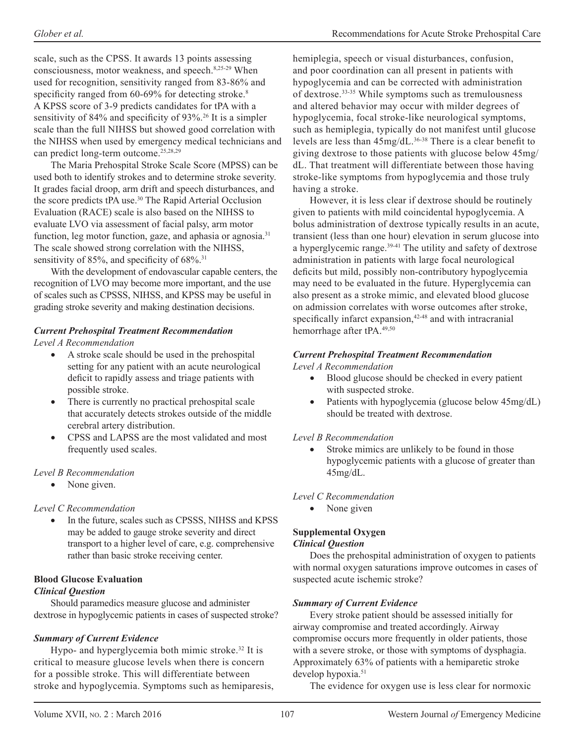scale, such as the CPSS. It awards 13 points assessing consciousness, motor weakness, and speech.8,25-29 When used for recognition, sensitivity ranged from 83-86% and specificity ranged from 60-69% for detecting stroke.<sup>8</sup> A KPSS score of 3-9 predicts candidates for tPA with a sensitivity of 84% and specificity of 93%.<sup>26</sup> It is a simpler scale than the full NIHSS but showed good correlation with the NIHSS when used by emergency medical technicians and can predict long-term outcome.25,28,29

The Maria Prehospital Stroke Scale Score (MPSS) can be used both to identify strokes and to determine stroke severity. It grades facial droop, arm drift and speech disturbances, and the score predicts tPA use.<sup>30</sup> The Rapid Arterial Occlusion Evaluation (RACE) scale is also based on the NIHSS to evaluate LVO via assessment of facial palsy, arm motor function, leg motor function, gaze, and aphasia or agnosia.<sup>31</sup> The scale showed strong correlation with the NIHSS, sensitivity of 85%, and specificity of 68%.<sup>31</sup>

With the development of endovascular capable centers, the recognition of LVO may become more important, and the use of scales such as CPSSS, NIHSS, and KPSS may be useful in grading stroke severity and making destination decisions.

# *Current Prehospital Treatment Recommendation*

*Level A Recommendation*

- A stroke scale should be used in the prehospital setting for any patient with an acute neurological deficit to rapidly assess and triage patients with possible stroke.
- There is currently no practical prehospital scale that accurately detects strokes outside of the middle cerebral artery distribution.
- CPSS and LAPSS are the most validated and most frequently used scales.

# *Level B Recommendation*

• None given.

*Level C Recommendation*

In the future, scales such as CPSSS, NIHSS and KPSS may be added to gauge stroke severity and direct transport to a higher level of care, e.g. comprehensive rather than basic stroke receiving center.

# **Blood Glucose Evaluation**

*Clinical Question* 

Should paramedics measure glucose and administer dextrose in hypoglycemic patients in cases of suspected stroke?

# *Summary of Current Evidence*

Hypo- and hyperglycemia both mimic stroke.<sup>32</sup> It is critical to measure glucose levels when there is concern for a possible stroke. This will differentiate between stroke and hypoglycemia. Symptoms such as hemiparesis, hemiplegia, speech or visual disturbances, confusion, and poor coordination can all present in patients with hypoglycemia and can be corrected with administration of dextrose.33-35 While symptoms such as tremulousness and altered behavior may occur with milder degrees of hypoglycemia, focal stroke-like neurological symptoms, such as hemiplegia, typically do not manifest until glucose levels are less than 45mg/dL.36-38 There is a clear benefit to giving dextrose to those patients with glucose below 45mg/ dL. That treatment will differentiate between those having stroke-like symptoms from hypoglycemia and those truly having a stroke.

However, it is less clear if dextrose should be routinely given to patients with mild coincidental hypoglycemia. A bolus administration of dextrose typically results in an acute, transient (less than one hour) elevation in serum glucose into a hyperglycemic range.39-41 The utility and safety of dextrose administration in patients with large focal neurological deficits but mild, possibly non-contributory hypoglycemia may need to be evaluated in the future. Hyperglycemia can also present as a stroke mimic, and elevated blood glucose on admission correlates with worse outcomes after stroke, specifically infarct expansion,<sup>42-48</sup> and with intracranial hemorrhage after tPA.49,50

# *Current Prehospital Treatment Recommendation*

*Level A Recommendation*

- Blood glucose should be checked in every patient with suspected stroke.
- Patients with hypoglycemia (glucose below 45mg/dL) should be treated with dextrose.

# *Level B Recommendation*

• Stroke mimics are unlikely to be found in those hypoglycemic patients with a glucose of greater than  $45$ mg/dL.

# *Level C Recommendation*

• None given

# **Supplemental Oxygen**

#### *Clinical Question*

Does the prehospital administration of oxygen to patients with normal oxygen saturations improve outcomes in cases of suspected acute ischemic stroke?

# *Summary of Current Evidence*

Every stroke patient should be assessed initially for airway compromise and treated accordingly. Airway compromise occurs more frequently in older patients, those with a severe stroke, or those with symptoms of dysphagia. Approximately 63% of patients with a hemiparetic stroke develop hypoxia.<sup>51</sup>

The evidence for oxygen use is less clear for normoxic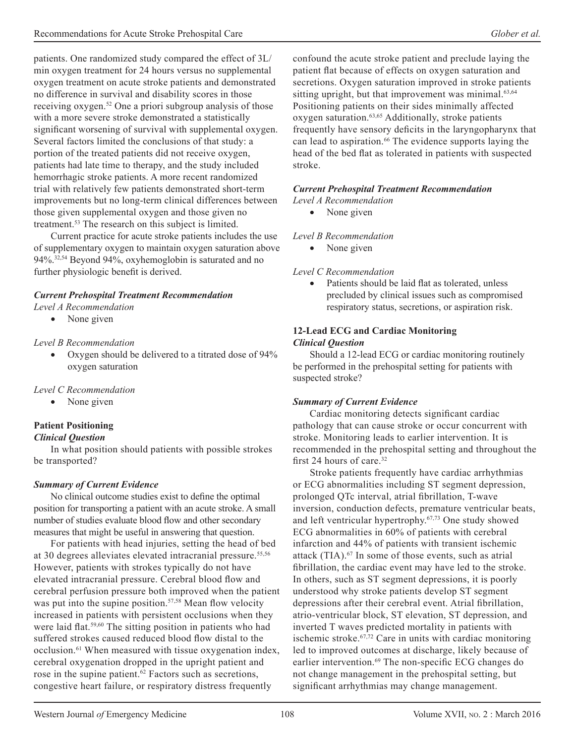patients. One randomized study compared the effect of 3L/ min oxygen treatment for 24 hours versus no supplemental oxygen treatment on acute stroke patients and demonstrated no difference in survival and disability scores in those receiving oxygen.52 One a priori subgroup analysis of those with a more severe stroke demonstrated a statistically significant worsening of survival with supplemental oxygen. Several factors limited the conclusions of that study: a portion of the treated patients did not receive oxygen, patients had late time to therapy, and the study included hemorrhagic stroke patients. A more recent randomized trial with relatively few patients demonstrated short-term improvements but no long-term clinical differences between those given supplemental oxygen and those given no treatment.<sup>53</sup> The research on this subject is limited.

Current practice for acute stroke patients includes the use of supplementary oxygen to maintain oxygen saturation above 94%.32,54 Beyond 94%, oxyhemoglobin is saturated and no further physiologic benefit is derived.

# *Current Prehospital Treatment Recommendation*

- *Level A Recommendation*
	- None given

# *Level B Recommendation*

• Oxygen should be delivered to a titrated dose of 94% oxygen saturation

# *Level C Recommendation*

None given

#### **Patient Positioning** *Clinical Question*

# In what position should patients with possible strokes be transported?

# *Summary of Current Evidence*

No clinical outcome studies exist to define the optimal position for transporting a patient with an acute stroke. A small number of studies evaluate blood flow and other secondary measures that might be useful in answering that question.

For patients with head injuries, setting the head of bed at 30 degrees alleviates elevated intracranial pressure.<sup>55,56</sup> However, patients with strokes typically do not have elevated intracranial pressure. Cerebral blood flow and cerebral perfusion pressure both improved when the patient was put into the supine position.<sup>57,58</sup> Mean flow velocity increased in patients with persistent occlusions when they were laid flat.<sup>59,60</sup> The sitting position in patients who had suffered strokes caused reduced blood flow distal to the occlusion.<sup>61</sup> When measured with tissue oxygenation index, cerebral oxygenation dropped in the upright patient and rose in the supine patient.<sup>62</sup> Factors such as secretions, congestive heart failure, or respiratory distress frequently

confound the acute stroke patient and preclude laying the patient flat because of effects on oxygen saturation and secretions. Oxygen saturation improved in stroke patients sitting upright, but that improvement was minimal.<sup>63,64</sup> Positioning patients on their sides minimally affected oxygen saturation.<sup>63,65</sup> Additionally, stroke patients frequently have sensory deficits in the laryngopharynx that can lead to aspiration.<sup>66</sup> The evidence supports laying the head of the bed flat as tolerated in patients with suspected stroke.

# *Current Prehospital Treatment Recommendation*

- *Level A Recommendation*
	- None given

# *Level B Recommendation*

• None given

# *Level C Recommendation*

Patients should be laid flat as tolerated, unless precluded by clinical issues such as compromised respiratory status, secretions, or aspiration risk.

# **12-Lead ECG and Cardiac Monitoring**  *Clinical Question*

Should a 12-lead ECG or cardiac monitoring routinely be performed in the prehospital setting for patients with suspected stroke?

# *Summary of Current Evidence*

Cardiac monitoring detects significant cardiac pathology that can cause stroke or occur concurrent with stroke. Monitoring leads to earlier intervention. It is recommended in the prehospital setting and throughout the first 24 hours of care.<sup>32</sup>

Stroke patients frequently have cardiac arrhythmias or ECG abnormalities including ST segment depression, prolonged QTc interval, atrial fibrillation, T-wave inversion, conduction defects, premature ventricular beats, and left ventricular hypertrophy.67,73 One study showed ECG abnormalities in 60% of patients with cerebral infarction and 44% of patients with transient ischemic attack (TIA). $67$  In some of those events, such as atrial fibrillation, the cardiac event may have led to the stroke. In others, such as ST segment depressions, it is poorly understood why stroke patients develop ST segment depressions after their cerebral event. Atrial fibrillation, atrio-ventricular block, ST elevation, ST depression, and inverted T waves predicted mortality in patients with ischemic stroke. $67,72$  Care in units with cardiac monitoring led to improved outcomes at discharge, likely because of earlier intervention.<sup>69</sup> The non-specific ECG changes do not change management in the prehospital setting, but significant arrhythmias may change management.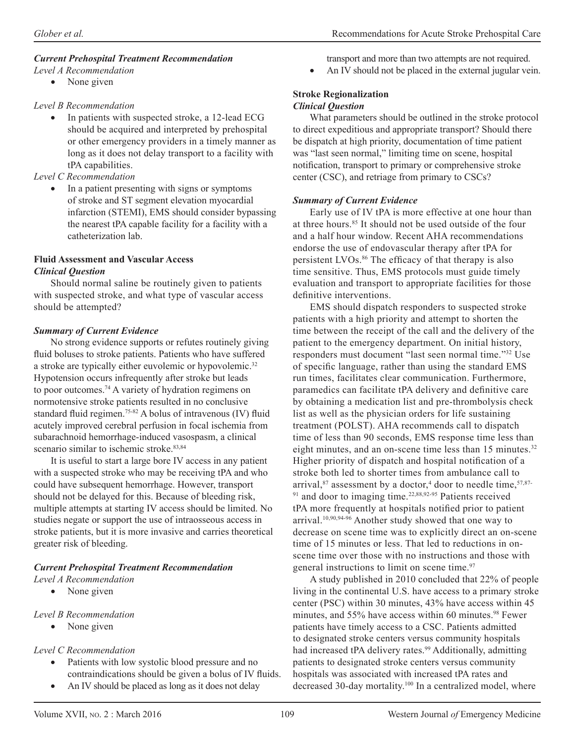# *Current Prehospital Treatment Recommendation*

- *Level A Recommendation*
	- None given

#### *Level B Recommendation*

In patients with suspected stroke, a 12-lead ECG should be acquired and interpreted by prehospital or other emergency providers in a timely manner as long as it does not delay transport to a facility with tPA capabilities.

*Level C Recommendation*

In a patient presenting with signs or symptoms of stroke and ST segment elevation myocardial infarction (STEMI), EMS should consider bypassing the nearest tPA capable facility for a facility with a catheterization lab.

#### **Fluid Assessment and Vascular Access** *Clinical Question*

Should normal saline be routinely given to patients with suspected stroke, and what type of vascular access should be attempted?

#### *Summary of Current Evidence*

No strong evidence supports or refutes routinely giving fluid boluses to stroke patients. Patients who have suffered a stroke are typically either euvolemic or hypovolemic.<sup>32</sup> Hypotension occurs infrequently after stroke but leads to poor outcomes.74 A variety of hydration regimens on normotensive stroke patients resulted in no conclusive standard fluid regimen.75-82 A bolus of intravenous (IV) fluid acutely improved cerebral perfusion in focal ischemia from subarachnoid hemorrhage-induced vasospasm, a clinical scenario similar to ischemic stroke.<sup>83,84</sup>

It is useful to start a large bore IV access in any patient with a suspected stroke who may be receiving tPA and who could have subsequent hemorrhage. However, transport should not be delayed for this. Because of bleeding risk, multiple attempts at starting IV access should be limited. No studies negate or support the use of intraosseous access in stroke patients, but it is more invasive and carries theoretical greater risk of bleeding.

#### *Current Prehospital Treatment Recommendation*

*Level A Recommendation*

• None given

#### *Level B Recommendation*

• None given

#### *Level C Recommendation*

- Patients with low systolic blood pressure and no contraindications should be given a bolus of IV fluids.
- An IV should be placed as long as it does not delay
- transport and more than two attempts are not required.
- An IV should not be placed in the external jugular vein.

#### **Stroke Regionalization**  *Clinical Question*

What parameters should be outlined in the stroke protocol to direct expeditious and appropriate transport? Should there be dispatch at high priority, documentation of time patient was "last seen normal," limiting time on scene, hospital notification, transport to primary or comprehensive stroke center (CSC), and retriage from primary to CSCs?

#### *Summary of Current Evidence*

Early use of IV tPA is more effective at one hour than at three hours.<sup>85</sup> It should not be used outside of the four and a half hour window. Recent AHA recommendations endorse the use of endovascular therapy after tPA for persistent LVOs.<sup>86</sup> The efficacy of that therapy is also time sensitive. Thus, EMS protocols must guide timely evaluation and transport to appropriate facilities for those definitive interventions.

EMS should dispatch responders to suspected stroke patients with a high priority and attempt to shorten the time between the receipt of the call and the delivery of the patient to the emergency department. On initial history, responders must document "last seen normal time."32 Use of specific language, rather than using the standard EMS run times, facilitates clear communication. Furthermore, paramedics can facilitate tPA delivery and definitive care by obtaining a medication list and pre-thrombolysis check list as well as the physician orders for life sustaining treatment (POLST). AHA recommends call to dispatch time of less than 90 seconds, EMS response time less than eight minutes, and an on-scene time less than 15 minutes.<sup>32</sup> Higher priority of dispatch and hospital notification of a stroke both led to shorter times from ambulance call to arrival, $87$  assessment by a doctor,<sup>4</sup> door to needle time,  $57,87$ -<sup>91</sup> and door to imaging time.<sup>22,88,92-95</sup> Patients received tPA more frequently at hospitals notified prior to patient arrival.10,90,94-96 Another study showed that one way to decrease on scene time was to explicitly direct an on-scene time of 15 minutes or less. That led to reductions in onscene time over those with no instructions and those with general instructions to limit on scene time.<sup>97</sup>

A study published in 2010 concluded that 22% of people living in the continental U.S. have access to a primary stroke center (PSC) within 30 minutes, 43% have access within 45 minutes, and  $55\%$  have access within 60 minutes.<sup>98</sup> Fewer patients have timely access to a CSC. Patients admitted to designated stroke centers versus community hospitals had increased tPA delivery rates.<sup>99</sup> Additionally, admitting patients to designated stroke centers versus community hospitals was associated with increased tPA rates and decreased 30-day mortality.<sup>100</sup> In a centralized model, where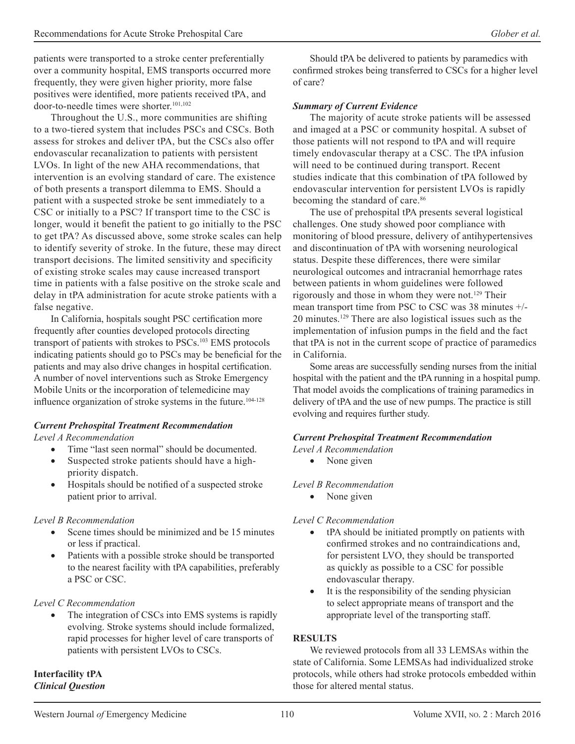patients were transported to a stroke center preferentially over a community hospital, EMS transports occurred more frequently, they were given higher priority, more false positives were identified, more patients received tPA, and door-to-needle times were shorter.<sup>101,102</sup>

Throughout the U.S., more communities are shifting to a two-tiered system that includes PSCs and CSCs. Both assess for strokes and deliver tPA, but the CSCs also offer endovascular recanalization to patients with persistent LVOs. In light of the new AHA recommendations, that intervention is an evolving standard of care. The existence of both presents a transport dilemma to EMS. Should a patient with a suspected stroke be sent immediately to a CSC or initially to a PSC? If transport time to the CSC is longer, would it benefit the patient to go initially to the PSC to get tPA? As discussed above, some stroke scales can help to identify severity of stroke. In the future, these may direct transport decisions. The limited sensitivity and specificity of existing stroke scales may cause increased transport time in patients with a false positive on the stroke scale and delay in tPA administration for acute stroke patients with a false negative.

In California, hospitals sought PSC certification more frequently after counties developed protocols directing transport of patients with strokes to PSCs.<sup>103</sup> EMS protocols indicating patients should go to PSCs may be beneficial for the patients and may also drive changes in hospital certification. A number of novel interventions such as Stroke Emergency Mobile Units or the incorporation of telemedicine may influence organization of stroke systems in the future.<sup>104-128</sup>

# *Current Prehospital Treatment Recommendation*

*Level A Recommendation*

- Time "last seen normal" should be documented.
- Suspected stroke patients should have a highpriority dispatch.
- Hospitals should be notified of a suspected stroke patient prior to arrival.

# *Level B Recommendation*

- Scene times should be minimized and be 15 minutes or less if practical.
- Patients with a possible stroke should be transported to the nearest facility with tPA capabilities, preferably a PSC or CSC.

# *Level C Recommendation*

The integration of CSCs into EMS systems is rapidly evolving. Stroke systems should include formalized, rapid processes for higher level of care transports of patients with persistent LVOs to CSCs.

#### **Interfacility tPA** *Clinical Question*

#### *Summary of Current Evidence*

The majority of acute stroke patients will be assessed and imaged at a PSC or community hospital. A subset of those patients will not respond to tPA and will require timely endovascular therapy at a CSC. The tPA infusion will need to be continued during transport. Recent studies indicate that this combination of tPA followed by endovascular intervention for persistent LVOs is rapidly becoming the standard of care.<sup>86</sup>

The use of prehospital tPA presents several logistical challenges. One study showed poor compliance with monitoring of blood pressure, delivery of antihypertensives and discontinuation of tPA with worsening neurological status. Despite these differences, there were similar neurological outcomes and intracranial hemorrhage rates between patients in whom guidelines were followed rigorously and those in whom they were not.129 Their mean transport time from PSC to CSC was 38 minutes +/- 20 minutes.129 There are also logistical issues such as the implementation of infusion pumps in the field and the fact that tPA is not in the current scope of practice of paramedics in California.

Some areas are successfully sending nurses from the initial hospital with the patient and the tPA running in a hospital pump. That model avoids the complications of training paramedics in delivery of tPA and the use of new pumps. The practice is still evolving and requires further study.

# *Current Prehospital Treatment Recommendation*

- *Level A Recommendation*
	- None given

# *Level B Recommendation*

• None given

# *Level C Recommendation*

- tPA should be initiated promptly on patients with confirmed strokes and no contraindications and, for persistent LVO, they should be transported as quickly as possible to a CSC for possible endovascular therapy.
- It is the responsibility of the sending physician to select appropriate means of transport and the appropriate level of the transporting staff.

# **RESULTS**

We reviewed protocols from all 33 LEMSAs within the state of California. Some LEMSAs had individualized stroke protocols, while others had stroke protocols embedded within those for altered mental status.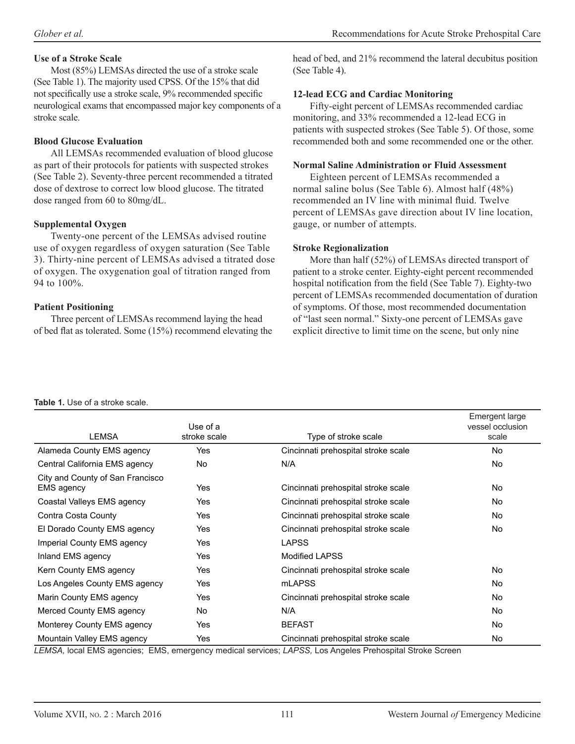#### **Use of a Stroke Scale**

Most (85%) LEMSAs directed the use of a stroke scale (See Table 1). The majority used CPSS. Of the 15% that did not specifically use a stroke scale, 9% recommended specific neurological exams that encompassed major key components of a stroke scale.

#### **Blood Glucose Evaluation**

All LEMSAs recommended evaluation of blood glucose as part of their protocols for patients with suspected strokes (See Table 2). Seventy-three percent recommended a titrated dose of dextrose to correct low blood glucose. The titrated dose ranged from 60 to 80mg/dL.

# **Supplemental Oxygen**

Twenty-one percent of the LEMSAs advised routine use of oxygen regardless of oxygen saturation (See Table 3). Thirty-nine percent of LEMSAs advised a titrated dose of oxygen. The oxygenation goal of titration ranged from 94 to 100%.

# **Patient Positioning**

Three percent of LEMSAs recommend laying the head of bed flat as tolerated. Some (15%) recommend elevating the head of bed, and 21% recommend the lateral decubitus position (See Table 4).

#### **12-lead ECG and Cardiac Monitoring**

Fifty-eight percent of LEMSAs recommended cardiac monitoring, and 33% recommended a 12-lead ECG in patients with suspected strokes (See Table 5). Of those, some recommended both and some recommended one or the other.

#### **Normal Saline Administration or Fluid Assessment**

Eighteen percent of LEMSAs recommended a normal saline bolus (See Table 6). Almost half (48%) recommended an IV line with minimal fluid. Twelve percent of LEMSAs gave direction about IV line location, gauge, or number of attempts.

#### **Stroke Regionalization**

More than half (52%) of LEMSAs directed transport of patient to a stroke center. Eighty-eight percent recommended hospital notification from the field (See Table 7). Eighty-two percent of LEMSAs recommended documentation of duration of symptoms. Of those, most recommended documentation of "last seen normal." Sixty-one percent of LEMSAs gave explicit directive to limit time on the scene, but only nine

#### **Table 1.** Use of a stroke scale.

| <b>LEMSA</b>                                   | Use of a<br>stroke scale | Type of stroke scale                | Emergent large<br>vessel occlusion<br>scale |
|------------------------------------------------|--------------------------|-------------------------------------|---------------------------------------------|
| Alameda County EMS agency                      | Yes                      | Cincinnati prehospital stroke scale | No.                                         |
| Central California EMS agency                  | <b>No</b>                | N/A                                 | No.                                         |
| City and County of San Francisco<br>EMS agency | Yes                      | Cincinnati prehospital stroke scale | No.                                         |
| Coastal Valleys EMS agency                     | Yes                      | Cincinnati prehospital stroke scale | No.                                         |
| Contra Costa County                            | Yes                      | Cincinnati prehospital stroke scale | No                                          |
| El Dorado County EMS agency                    | Yes                      | Cincinnati prehospital stroke scale | No.                                         |
| Imperial County EMS agency                     | <b>Yes</b>               | <b>LAPSS</b>                        |                                             |
| Inland EMS agency                              | Yes                      | <b>Modified LAPSS</b>               |                                             |
| Kern County EMS agency                         | Yes                      | Cincinnati prehospital stroke scale | No                                          |
| Los Angeles County EMS agency                  | Yes                      | mLAPSS                              | No.                                         |
| Marin County EMS agency                        | Yes                      | Cincinnati prehospital stroke scale | No.                                         |
| Merced County EMS agency                       | No                       | N/A                                 | No                                          |
| Monterey County EMS agency                     | Yes                      | <b>BEFAST</b>                       | No.                                         |
| Mountain Valley EMS agency                     | Yes                      | Cincinnati prehospital stroke scale | No                                          |

*LEMSA,* local EMS agencies; EMS, emergency medical services; *LAPSS,* Los Angeles Prehospital Stroke Screen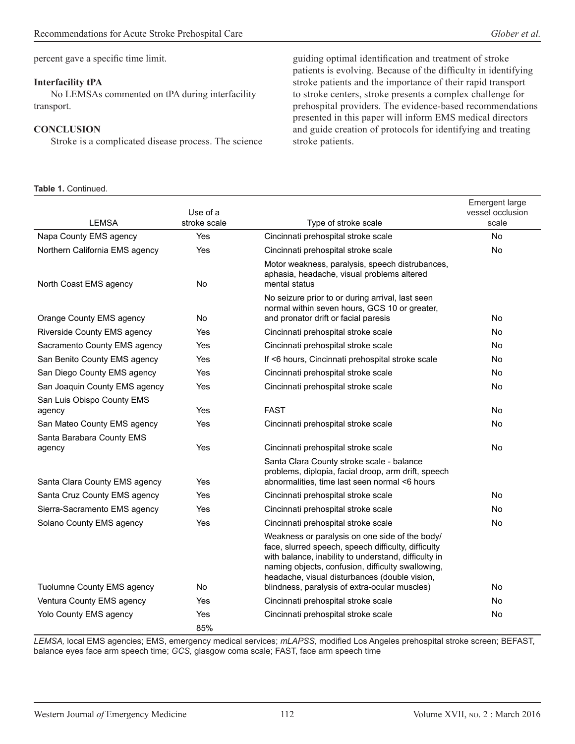#### **Interfacility tPA**

No LEMSAs commented on tPA during interfacility transport.

#### **CONCLUSION**

Stroke is a complicated disease process. The science

#### **Table 1.** Continued.

guiding optimal identification and treatment of stroke patients is evolving. Because of the difficulty in identifying stroke patients and the importance of their rapid transport to stroke centers, stroke presents a complex challenge for prehospital providers. The evidence-based recommendations presented in this paper will inform EMS medical directors and guide creation of protocols for identifying and treating stroke patients.

| <b>LEMSA</b>                         | Use of a<br>stroke scale | Type of stroke scale                                                                                                                                                                                                                                                | <b>Emergent large</b><br>vessel occlusion<br>scale |
|--------------------------------------|--------------------------|---------------------------------------------------------------------------------------------------------------------------------------------------------------------------------------------------------------------------------------------------------------------|----------------------------------------------------|
| Napa County EMS agency               | Yes                      | Cincinnati prehospital stroke scale                                                                                                                                                                                                                                 | No                                                 |
| Northern California EMS agency       | Yes                      | Cincinnati prehospital stroke scale                                                                                                                                                                                                                                 | No                                                 |
| North Coast EMS agency               | <b>No</b>                | Motor weakness, paralysis, speech distrubances,<br>aphasia, headache, visual problems altered<br>mental status                                                                                                                                                      |                                                    |
| Orange County EMS agency             | No                       | No seizure prior to or during arrival, last seen<br>normal within seven hours, GCS 10 or greater,<br>and pronator drift or facial paresis                                                                                                                           | No.                                                |
| Riverside County EMS agency          | Yes                      | Cincinnati prehospital stroke scale                                                                                                                                                                                                                                 | No                                                 |
| Sacramento County EMS agency         | Yes                      | Cincinnati prehospital stroke scale                                                                                                                                                                                                                                 | No                                                 |
| San Benito County EMS agency         | Yes                      | If <6 hours, Cincinnati prehospital stroke scale                                                                                                                                                                                                                    | No                                                 |
| San Diego County EMS agency          | Yes                      | Cincinnati prehospital stroke scale                                                                                                                                                                                                                                 | No                                                 |
| San Joaquin County EMS agency        | Yes                      | Cincinnati prehospital stroke scale                                                                                                                                                                                                                                 | No                                                 |
| San Luis Obispo County EMS<br>agency | Yes                      | <b>FAST</b>                                                                                                                                                                                                                                                         | No                                                 |
| San Mateo County EMS agency          | Yes                      | Cincinnati prehospital stroke scale                                                                                                                                                                                                                                 | No                                                 |
| Santa Barabara County EMS            |                          |                                                                                                                                                                                                                                                                     |                                                    |
| agency                               | Yes                      | Cincinnati prehospital stroke scale                                                                                                                                                                                                                                 | No                                                 |
| Santa Clara County EMS agency        | Yes                      | Santa Clara County stroke scale - balance<br>problems, diplopia, facial droop, arm drift, speech<br>abnormalities, time last seen normal <6 hours                                                                                                                   |                                                    |
| Santa Cruz County EMS agency         | Yes                      | Cincinnati prehospital stroke scale                                                                                                                                                                                                                                 | N <sub>0</sub>                                     |
| Sierra-Sacramento EMS agency         | Yes                      | Cincinnati prehospital stroke scale                                                                                                                                                                                                                                 | <b>No</b>                                          |
| Solano County EMS agency             | Yes                      | Cincinnati prehospital stroke scale                                                                                                                                                                                                                                 | N <sub>0</sub>                                     |
|                                      |                          | Weakness or paralysis on one side of the body/<br>face, slurred speech, speech difficulty, difficulty<br>with balance, inability to understand, difficulty in<br>naming objects, confusion, difficulty swallowing,<br>headache, visual disturbances (double vision, |                                                    |
| <b>Tuolumne County EMS agency</b>    | No                       | blindness, paralysis of extra-ocular muscles)                                                                                                                                                                                                                       | <b>No</b>                                          |
| Ventura County EMS agency            | Yes                      | Cincinnati prehospital stroke scale                                                                                                                                                                                                                                 | No                                                 |
| Yolo County EMS agency               | Yes                      | Cincinnati prehospital stroke scale                                                                                                                                                                                                                                 | <b>No</b>                                          |
|                                      | 85%                      |                                                                                                                                                                                                                                                                     |                                                    |

*LEMSA,* local EMS agencies; EMS, emergency medical services; *mLAPSS,* modified Los Angeles prehospital stroke screen; BEFAST, balance eyes face arm speech time; *GCS,* glasgow coma scale; FAST, face arm speech time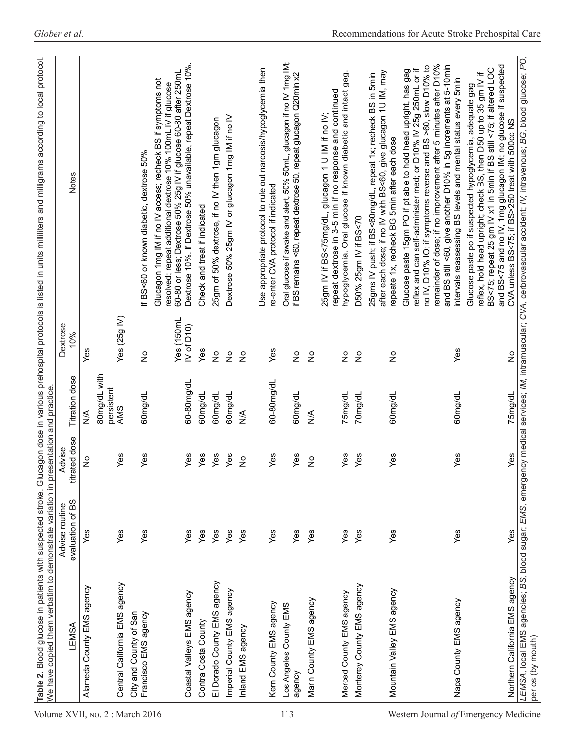| We have copied them verbatim to demonstrate variation in presentation and practice. |                                    |                          |                                          |                            | Table 2. Blood glucose in patients with suspected stroke. Glucage in various prehospital protocols is listed in units milliters and milligrams according to local protocol                                                                                                                                                                                                                             |
|-------------------------------------------------------------------------------------|------------------------------------|--------------------------|------------------------------------------|----------------------------|--------------------------------------------------------------------------------------------------------------------------------------------------------------------------------------------------------------------------------------------------------------------------------------------------------------------------------------------------------------------------------------------------------|
| LEMSA                                                                               | evaluation of BS<br>Advise routine | ated dose<br>Advise<br>追 | Titration dose                           | Dextrose<br>10%            | <b>Notes</b>                                                                                                                                                                                                                                                                                                                                                                                           |
| Alameda County EMS agency                                                           | Yes                                | $\frac{1}{2}$            | $\frac{4}{2}$                            | Yes                        |                                                                                                                                                                                                                                                                                                                                                                                                        |
| Central California EMS agency                                                       | Yes                                | Yes                      | 80mg/dL with<br>persistent<br><b>AMS</b> | Yes (25g IV)               |                                                                                                                                                                                                                                                                                                                                                                                                        |
| City and County of San<br>Francisco EMS agency                                      | Yes                                | Yes                      | 60mg/dL                                  | $\frac{1}{2}$              | If BS<60 or known diabetic, dextrose 50%                                                                                                                                                                                                                                                                                                                                                               |
| Coastal Valleys EMS agency                                                          | Yes                                | Yes                      | 60-80mg/dL                               | Yes (150mL<br>IV of D10)   | Dextrose 10%. If Dextrose 50% unavailable, repeat Dextrose 10%.<br>60-80 or less; Dextrose 50% 25g IV if glucose 60-80 after 250mL<br>Glucagon 1mg IM if no IV access; recheck BS if symptoms not<br>resolved; repeat additional dextrose 10% 100mL IV if glucose                                                                                                                                      |
| Contra Costa County                                                                 | Yes                                | Yes                      | 60mg/dL                                  | Yes                        | Check and treat if indicated                                                                                                                                                                                                                                                                                                                                                                           |
| El Dorado County EMS agency                                                         | Yes                                | Yes                      | 60mg/dL                                  | $\frac{1}{2}$              | 25gm of 50% dextrose, if no IV then 1gm glucagon                                                                                                                                                                                                                                                                                                                                                       |
| Imperial County EMS agency                                                          | Yes                                | Yes                      | GOmg/dL                                  | $\frac{1}{2}$              | Dextrose 50% 25gm IV or glucagon 1mg IM if no IV                                                                                                                                                                                                                                                                                                                                                       |
| Inland EMS agency                                                                   | Yes                                | $\frac{1}{2}$            | $\frac{4}{2}$                            | $\frac{1}{2}$              |                                                                                                                                                                                                                                                                                                                                                                                                        |
| Kern County EMS agency                                                              | Yes                                | Yes                      | 60-80mg/dL                               | Yes                        | Use appropriate protocol to rule out narcosis/hypoglycemia then<br>re-enter CVA protocol if indicated                                                                                                                                                                                                                                                                                                  |
| Los Angeles County EMS<br>agency                                                    | Yes                                | Yes                      | GOmg/dL                                  | $\frac{1}{2}$              | Oral glucose if awake and alert, 50% 50mL, glucagon if no IV 1mg IM;<br>if BS remains <60, repeat dextrose 50, repeat glucagon Q20min x2                                                                                                                                                                                                                                                               |
| Marin County EMS agency                                                             | Yes                                | $\frac{1}{2}$            | $\frac{4}{2}$                            | $\frac{1}{2}$              |                                                                                                                                                                                                                                                                                                                                                                                                        |
| Merced County EMS agency                                                            | Yes                                | Yes                      | 75mg/dL                                  | $\stackrel{\circ}{\simeq}$ | hypoglycemia. Oral glucose if known diabetic and intact gag.<br>repeat dextrose in 3-5 min if no response and continued<br>25gm IV if BS<75mg/dL, glucagon 1 U IM if no IV;                                                                                                                                                                                                                            |
| Monterey County EMS agency                                                          | Yes                                | Yes                      | 70mg/dL                                  | $\frac{1}{2}$              | D50% 25gm IV if BS<70                                                                                                                                                                                                                                                                                                                                                                                  |
| Mountain Valley EMS agency                                                          | Yes                                | Yes                      | 60mg/dL                                  | $\epsilon$                 | after each dose; if no IV with BS<60, give glucagon 1U IM, may<br>25gms IV push; if BS<60mg/dL, repeat 1x; recheck BS in 5min<br>repeate 1x, recheck BG 5min after each dose                                                                                                                                                                                                                           |
| Napa County EMS agency                                                              | Yes                                | Yes                      | 60mg/dL                                  | Yes                        | remainder of dose; if no improvement after 5 minutes after D10%<br>and BS still <60, give another D10% in 5g increments at 5-10min<br>no IV, D10% IO; if symptoms reverse and BS >60, slow D10% to<br>Glucose paste 15gm PO if pt able to hold head upright, has gag<br>reflex and can self-administer med; or D10% IV 25g 250mL or if<br>intervals reassessing BS levels and mental status every 5min |
|                                                                                     |                                    |                          |                                          |                            | and BS<75 and no IV, 1mg glucagon IM; no glucose if suspected<br>BS<75; repeat 25 gm IV x1 in 5min if BS still <75; if altered LOC<br>reflex, hold head upright; check BS, then D50 up to 35 gm IV if<br>Glucose paste po if suspected hypoglycemia, adequate gag                                                                                                                                      |
| Northern California EMS agency                                                      | Yes                                | Yes                      | 75mg/dL                                  | $\frac{1}{2}$              | CVA unless BS<75; if BS>250 treat with 500cc NS                                                                                                                                                                                                                                                                                                                                                        |
| per os (by mouth)                                                                   |                                    |                          |                                          |                            | LEMSA, local EMS agencies; BS, blood sugar; EMS, emergency medical services; IM, intramuscular; CVA, cerbrovascular accident; IV, intravenous; BG, blood glucose; PO,                                                                                                                                                                                                                                  |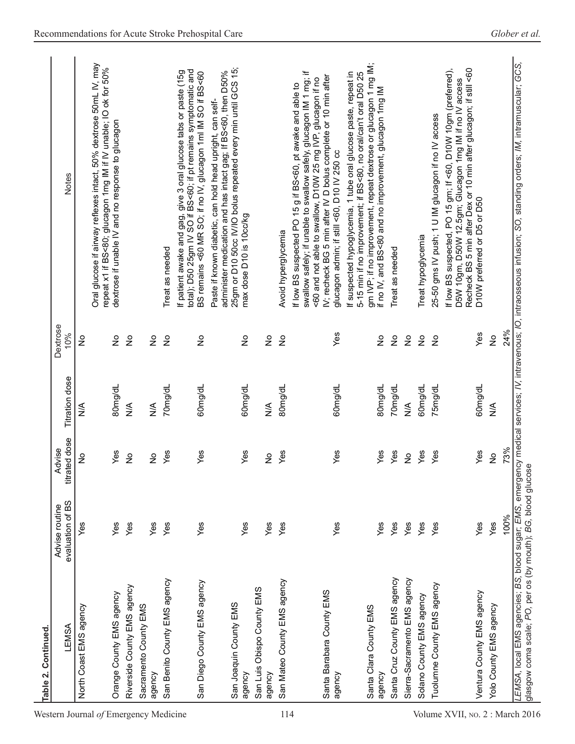| Table 2. Continued.                                          |                                    |                         |                         |                            |                                                                                                                                                                                                                                                                                                                 |
|--------------------------------------------------------------|------------------------------------|-------------------------|-------------------------|----------------------------|-----------------------------------------------------------------------------------------------------------------------------------------------------------------------------------------------------------------------------------------------------------------------------------------------------------------|
| LEMSA                                                        | evaluation of BS<br>Advise routine | titrated dose<br>Advise | Titration dose          | Dextrose<br>10%            | <b>Notes</b>                                                                                                                                                                                                                                                                                                    |
| North Coast EMS agency                                       | Yes                                | $\frac{1}{2}$           | ⋚                       | $\frac{1}{2}$              |                                                                                                                                                                                                                                                                                                                 |
|                                                              |                                    |                         |                         |                            | Oral glucose if airway reflexes intact, 50% dextrose 50mL IV, may<br>repeat x1 if BS<80; glucagon 1mg IM if IV unable; IO ok for 50%                                                                                                                                                                            |
| Orange County EMS agency                                     | Yes                                | Yes                     | 80mg/dL                 | $\frac{1}{2}$              | dextrose if unable IV and no response to glucagon                                                                                                                                                                                                                                                               |
| Riverside County EMS agency                                  | Yes                                | $\frac{1}{2}$           | $\frac{4}{2}$           | $\frac{1}{2}$              |                                                                                                                                                                                                                                                                                                                 |
| Sacramento County EMS<br>agency                              | Yes                                | $\frac{1}{2}$           | $\stackrel{\leq}{\geq}$ | $\frac{1}{2}$              |                                                                                                                                                                                                                                                                                                                 |
| San Benito County EMS agency                                 | Yes                                | Yes                     | 70mg/dL                 | $\frac{1}{2}$              | Treat as needed                                                                                                                                                                                                                                                                                                 |
|                                                              |                                    |                         |                         |                            | If patient awake and gag, give 3 oral glucose tabs or paste (15g<br>total); D50 25gm IV SO if BS<60; if pt remains symptomatic and                                                                                                                                                                              |
| San Diego County EMS agency                                  | Yes                                | Yes                     | 60mg/dL                 | $\frac{1}{2}$              | BS remains <60 MR SO; if no IV, glucagon 1ml IM SO if BS<60                                                                                                                                                                                                                                                     |
|                                                              |                                    |                         |                         |                            | administer medication and has intact gag; If BS<60, then D50%<br>Paste if known diabetic, can hold head upright, can self-                                                                                                                                                                                      |
| San Joaquin County EMS<br>agency                             | Yes                                | Yes                     | 60mg/dL                 | $\frac{1}{2}$              | 25gm or D10 50cc IV/IO bolus repeated every min until GCS 15;<br>max dose D10 is 10cc/kg                                                                                                                                                                                                                        |
| San Luis Obispo County EMS                                   |                                    |                         |                         |                            |                                                                                                                                                                                                                                                                                                                 |
| agency                                                       | Yes                                | $\frac{1}{2}$           | $\frac{1}{2}$           | $\stackrel{\circ}{\simeq}$ |                                                                                                                                                                                                                                                                                                                 |
| San Mateo County EMS agency                                  | Yes                                | Yes                     | 80mg/dL                 | $\frac{1}{2}$              | Avoid hyperglycemia                                                                                                                                                                                                                                                                                             |
| Santa Barabara County EMS<br>agency                          | Yes                                | Yes                     | 60mg/dL                 | Yes                        | swallow safely; if unable to swallow safely, glucagon IM 1 mg; if<br>IV; recheck BG 5 min after IV D bolus complete or 10 min after<br><60 and not able to swallow, D10W 25 mg IVP, glucagon if no<br>If low BS suspected PO 15 g if BS<60, pt awake and able to<br>glucagon admin; if still <60, D10 IV 250 cc |
| Santa Clara County EMS<br>agency                             | Yes                                | Yes                     | 80mg/dL                 | $\frac{1}{2}$              | gm IVP; if no improvement, repeat dextrose or glucagon 1 mg IM;<br>if no IV, and BS<80 and no improvement, glucagon 1mg IM<br>5-15 min if no improvement; if BS<80, no oral/can't oral D50 25<br>If suspected hypoglycemia, 1 tube oral glucose paste, repeat in                                                |
| Santa Cruz County EMS agency                                 | Yes                                | Yes                     | 70mg/dL                 | $\stackrel{\mathtt{o}}{z}$ | Treat as needed                                                                                                                                                                                                                                                                                                 |
| Sierra-Sacramento EMS agency                                 | Yes                                | $\frac{6}{5}$           | $\frac{1}{2}$           | $\frac{1}{2}$              |                                                                                                                                                                                                                                                                                                                 |
| Solano County EMS agency                                     | Yes                                | Yes                     | 60mg/dL                 | $\frac{1}{2}$              | Treat hypoglycemia                                                                                                                                                                                                                                                                                              |
| Tuolumne County EMS agency                                   | Yes                                | Yes                     | 75mg/dL                 | $\frac{1}{2}$              | 25-50 gms IV push; 1 U IM glucagon if no IV access                                                                                                                                                                                                                                                              |
|                                                              |                                    |                         |                         |                            | Recheck BS 5 min after Dex or 10 min after glucagon; if still <60<br>If low BS suspected, PO 15 gm; If <60, D10W 10gm (preferred),<br>D5W 10gm, D50W 12.5gm; Glucagon 1mg IM if no IV access                                                                                                                    |
| Ventura County EMS agency                                    | Yes                                | Yes                     | 60mg/dL                 | Yes                        | D10W preferred or D5 or D50                                                                                                                                                                                                                                                                                     |
| Yolo County EMS agency                                       | Yes                                | $\frac{1}{2}$           | $\frac{4}{2}$           | $\frac{1}{2}$              |                                                                                                                                                                                                                                                                                                                 |
|                                                              | 100%                               | 73%                     |                         | 24%                        |                                                                                                                                                                                                                                                                                                                 |
| glasgow coma scale; PO, per os (by mouth); BG, blood glucose |                                    |                         |                         |                            | LEMSA, local EMS agencies; BS, blood sugar; EMS, emergency medical services; IV, intravenous; IO, intraosseous infusion; SO, standing orders; IM, intramuscular; GCS,                                                                                                                                           |

J.

Western Journal of Emergency Medicine 114 Volume XVII, No. 2 : March 2016

 $\overline{\phantom{0}}$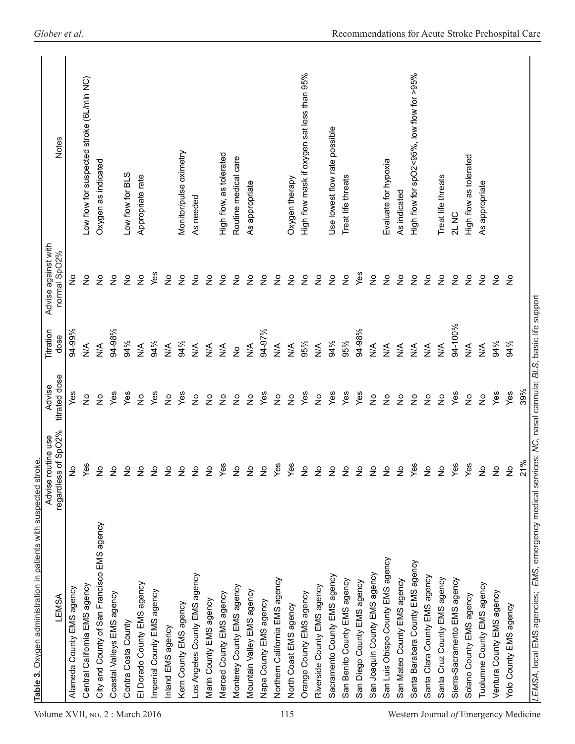| Table 3. Oxygen administration in patients with suspected stroke. |                                                                             |                         |                   |                                     |                                            |
|-------------------------------------------------------------------|-----------------------------------------------------------------------------|-------------------------|-------------------|-------------------------------------|--------------------------------------------|
| LEMSA                                                             | regardless of SpO2%<br>Advise routine use                                   | titrated dose<br>Advise | Titration<br>dose | Advise against with<br>normal SpO2% | <b>Notes</b>                               |
| Alameda County EMS agency                                         | $\frac{1}{2}$                                                               | Yes                     | 94-99%            | $\frac{9}{2}$                       |                                            |
| Central California EMS agency                                     | Yes                                                                         | $\frac{1}{2}$           | $\frac{1}{2}$     | $\frac{1}{2}$                       | Low flow for suspected stroke (6L/min NC)  |
| City and County of San Francisco EMS agency                       | $\frac{1}{2}$                                                               | $\frac{1}{2}$           | $\frac{4}{2}$     | $\frac{1}{2}$                       | Oxygen as indicated                        |
| Coastal Valleys EMS agency                                        | $\frac{1}{2}$                                                               | Yes                     | 94-98%            | $\frac{1}{2}$                       |                                            |
| Contra Costa County                                               | $\frac{1}{2}$                                                               | Yes                     | 94%               | $\stackrel{\mathtt{o}}{z}$          | Low flow for BLS                           |
| El Dorado County EMS agency                                       | $\frac{6}{2}$                                                               | $\frac{1}{2}$           | $\frac{4}{2}$     | $\stackrel{\mathtt{o}}{z}$          | Appropriate rate                           |
| Imperial County EMS agency                                        | $\frac{1}{2}$                                                               | Yes                     | 94%               | Yes                                 |                                            |
| Inland EMS agency                                                 | $\frac{6}{2}$                                                               | $\frac{1}{2}$           | $\frac{4}{2}$     | $\frac{1}{2}$                       |                                            |
| Kern County EMS agency                                            | $\frac{1}{2}$                                                               | Yes                     | 94%               | $\frac{1}{2}$                       | Monitor/pulse oximetry                     |
| Los Angeles County EMS agency                                     | $\frac{1}{2}$                                                               | $\frac{1}{2}$           | $\frac{4}{2}$     | $\stackrel{\mathtt{o}}{z}$          | As needed                                  |
| Marin County EMS agency                                           | $\frac{1}{2}$                                                               | $\frac{1}{2}$           | $\frac{1}{2}$     | $\frac{1}{2}$                       |                                            |
| Merced County EMS agency                                          | Yes                                                                         | $\frac{1}{2}$           | $\frac{4}{2}$     | $\frac{1}{2}$                       | High flow, as tolerated                    |
| Monterey County EMS agency                                        | $\frac{1}{2}$                                                               | $\frac{1}{2}$           | $\frac{6}{5}$     | $\frac{1}{2}$                       | Routine medical care                       |
| Mountain Valley EMS agency                                        | $\frac{1}{2}$                                                               | $\frac{1}{2}$           | $\frac{4}{2}$     | $\stackrel{\mathtt{o}}{z}$          | As appropriate                             |
| Napa County EMS agency                                            | $\frac{9}{2}$                                                               | Yes                     | 94-97%            | $\frac{1}{2}$                       |                                            |
| Northern California EMS agency                                    | Yes                                                                         | $\frac{1}{2}$           | $\frac{4}{2}$     | $\frac{1}{2}$                       |                                            |
| North Coast EMS agency                                            | Yes                                                                         | $\frac{1}{2}$           | $\frac{4}{2}$     | $\stackrel{\mathtt{o}}{z}$          | Oxygen therapy                             |
| Orange County EMS agency                                          | $\frac{1}{2}$                                                               | Yes                     | 95%               | $\frac{1}{2}$                       | High flow mask if oxygen sat less than 95% |
| Riverside County EMS agency                                       | $\frac{1}{2}$                                                               | $\frac{1}{2}$           | $\frac{1}{2}$     | $\frac{1}{2}$                       |                                            |
| Sacramento County EMS agency                                      | $\frac{1}{2}$                                                               | Yes                     | 94%               | $\frac{1}{2}$                       | Use lowest flow rate possible              |
| San Benito County EMS agency                                      | $\frac{1}{2}$                                                               | Yes                     | 95%               | $\frac{1}{2}$                       | Treat life threats                         |
| San Diego County EMS agency                                       | $\frac{6}{5}$                                                               | Yes                     | 94-98%            | Yes                                 |                                            |
| San Joaquin County EMS agency                                     | $\frac{6}{5}$                                                               | $\frac{1}{2}$           | $\frac{4}{2}$     | $\frac{1}{2}$                       |                                            |
| San Luis Obispo County EMS agency                                 | $\frac{1}{2}$                                                               | $\frac{1}{2}$           | $\frac{4}{2}$     | $\frac{1}{2}$                       | Evaluate for hypoxia                       |
| San Mateo County EMS agency                                       | $\frac{1}{2}$                                                               | $\frac{1}{2}$           | $\frac{4}{2}$     | $\frac{1}{2}$                       | As indicated                               |
| Santa Barabara County EMS agency                                  | Yes                                                                         | $\frac{1}{2}$           | $\frac{4}{2}$     | $\frac{1}{2}$                       | High flow for spO2<95%, low flow for >95%  |
| Santa Clara County EMS agency                                     | $\frac{1}{2}$                                                               | $\frac{9}{2}$           | $\frac{4}{2}$     | $\frac{1}{2}$                       |                                            |
| Santa Cruz County EMS agency                                      | $\frac{9}{2}$                                                               | $\frac{1}{2}$           | $\frac{4}{2}$     | $\frac{1}{2}$                       | Treat life threats                         |
| Sierra-Sacramento EMS agency                                      | Yes                                                                         | Yes                     | 94-100%           | $\frac{9}{2}$                       | 2L NC                                      |
| Solano County EMS agency                                          | Yes                                                                         | $\frac{1}{2}$           | $\frac{1}{2}$     | $\frac{9}{2}$                       | High flow as tolerated                     |
| Tuolumne County EMS agency                                        | $\frac{9}{2}$                                                               | $\frac{1}{2}$           | $\frac{4}{2}$     | $\frac{1}{2}$                       | As appropriate                             |
| Ventura County EMS agency                                         | $\frac{1}{2}$                                                               | Yes                     | 94%               | $\frac{1}{2}$                       |                                            |
| Yolo County EMS agency                                            | $\frac{1}{2}$                                                               | Yes                     | 94%               | $\frac{1}{2}$                       |                                            |
|                                                                   | 21%                                                                         | 39%                     |                   |                                     |                                            |
| LEMSA, local EMS agencies;                                        | EMS, emergency medical services; NC, nasal cannula; BLS, basic life support |                         |                   |                                     |                                            |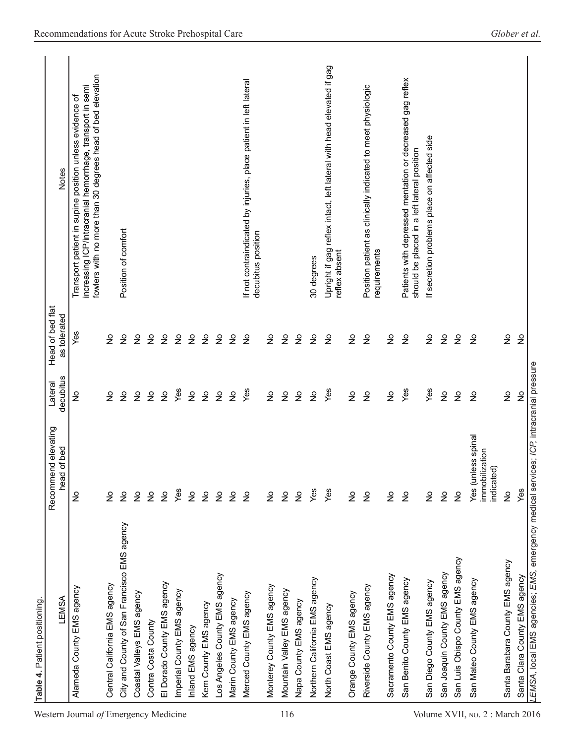| Table 4. Patient positioning                                                           |                                                    |                                 |                                  |                                                                                                                                                                                    |
|----------------------------------------------------------------------------------------|----------------------------------------------------|---------------------------------|----------------------------------|------------------------------------------------------------------------------------------------------------------------------------------------------------------------------------|
| LEMSA                                                                                  | Recommend elevating<br>head of bed                 | decubitus<br>Lateral            | Head of bed flat<br>as tolerated | Notes                                                                                                                                                                              |
| Alameda County EMS agency                                                              | $\frac{1}{2}$                                      | $\frac{1}{2}$                   | Yes                              | fowlers with no more than 30 degrees head of bed elevation<br>increasing ICP/intracranial hemorrhage, transport in semi<br>Transport patient in supine position unless evidence of |
| Central California EMS agency                                                          | $\epsilon$                                         | $\frac{1}{2}$                   | ş                                |                                                                                                                                                                                    |
| City and County of San Francisco EMS agency                                            | $\stackrel{\mathtt{o}}{z}$                         | $\frac{\circ}{2}$               | $\frac{1}{2}$                    | Position of comfort                                                                                                                                                                |
| Coastal Valleys EMS agency                                                             | $\stackrel{\mathtt{o}}{z}$                         | $\frac{1}{2}$                   | $\frac{1}{2}$                    |                                                                                                                                                                                    |
| Contra Costa County                                                                    | $\frac{9}{2}$                                      | $\frac{\circ}{2}$               | $\frac{1}{2}$                    |                                                                                                                                                                                    |
| El Dorado County EMS agency                                                            | $\frac{9}{2}$                                      | $\frac{\mathsf{o}}{\mathsf{c}}$ | $\frac{9}{2}$                    |                                                                                                                                                                                    |
| Imperial County EMS agency                                                             | Yes                                                | Yes                             | $\frac{\circ}{2}$                |                                                                                                                                                                                    |
| Inland EMS agency                                                                      | $\stackrel{\circ}{\simeq}$                         | $\frac{\circ}{2}$               | $\frac{1}{2}$                    |                                                                                                                                                                                    |
| Kern County EMS agency                                                                 | $\stackrel{\circ}{\simeq}$                         | $\frac{9}{2}$                   | $\frac{1}{2}$                    |                                                                                                                                                                                    |
| Los Angeles County EMS agency                                                          | $\frac{1}{2}$                                      | $\frac{1}{2}$                   | $\frac{1}{2}$                    |                                                                                                                                                                                    |
| Marin County EMS agency                                                                | $\frac{9}{2}$                                      | $\frac{1}{2}$                   | $\frac{1}{2}$                    |                                                                                                                                                                                    |
| Merced County EMS agency                                                               | $\frac{1}{2}$                                      | yes                             | $\frac{6}{2}$                    | If not contraindicated by injuries, place patient in left lateral<br>decubitus position                                                                                            |
| Monterey County EMS agency                                                             | $\frac{\mathsf{O}}{\mathsf{D}}$                    | $\stackrel{\mathtt{o}}{z}$      | $\frac{1}{2}$                    |                                                                                                                                                                                    |
| Mountain Valley EMS agency                                                             | $\frac{1}{2}$                                      | $\frac{\mathsf{O}}{\mathsf{D}}$ | $\stackrel{\circ}{\simeq}$       |                                                                                                                                                                                    |
| Napa County EMS agency                                                                 | $\stackrel{\circ}{\simeq}$                         | $\frac{\mathsf{o}}{\mathsf{c}}$ | $\frac{1}{2}$                    |                                                                                                                                                                                    |
| Northern California EMS agency                                                         | Yes                                                | $\frac{1}{2}$                   | $\frac{1}{2}$                    | 30 degrees                                                                                                                                                                         |
| North Coast EMS agency                                                                 | Yes                                                | уę                              | $\frac{1}{2}$                    | Upright if gag reflex intact, left lateral with head elevated if gag<br>reflex absent                                                                                              |
| Orange County EMS agency                                                               | $\stackrel{\circ}{\simeq}$                         | $\stackrel{\mathtt{o}}{z}$      | $\frac{1}{2}$                    |                                                                                                                                                                                    |
| Riverside County EMS agency                                                            | $\epsilon$                                         | $\frac{1}{2}$                   | $\frac{1}{2}$                    | Position patient as clinically indicated to meet physiologic<br>requirements                                                                                                       |
| Sacramento County EMS agency                                                           | $\stackrel{\mathtt{o}}{z}$                         | $\stackrel{\mathtt{o}}{z}$      | $\stackrel{\mathtt{o}}{z}$       |                                                                                                                                                                                    |
| San Benito County EMS agency                                                           | $\stackrel{\circ}{\simeq}$                         | Yes                             | $\frac{1}{2}$                    | Patients with depressed mentation or decreased gag reflex<br>should be placed in a left lateral position                                                                           |
| San Diego County EMS agency                                                            | $\stackrel{\circ}{\simeq}$                         | Yes                             | $\stackrel{\mathtt{o}}{z}$       | If secretion problems place on affected side                                                                                                                                       |
| San Joaquin County EMS agency                                                          | $\stackrel{\mathtt{o}}{z}$                         | $\stackrel{\mathtt{o}}{z}$      | $\stackrel{\mathtt{o}}{z}$       |                                                                                                                                                                                    |
| San Luis Obispo County EMS agency                                                      | $\frac{6}{5}$                                      | $\stackrel{\mathtt{o}}{z}$      | $\stackrel{\mathtt{o}}{z}$       |                                                                                                                                                                                    |
| San Mateo County EMS agency                                                            | Yes (unless spinal<br>immobilization<br>indicated) | $\frac{1}{2}$                   | $\frac{1}{2}$                    |                                                                                                                                                                                    |
| Santa Barabara County EMS agency                                                       | $\frac{1}{2}$                                      | $\frac{1}{2}$                   | $\frac{1}{2}$                    |                                                                                                                                                                                    |
| Santa Clara County EMS agency                                                          | Yes                                                | $\frac{1}{2}$                   | $\frac{1}{2}$                    |                                                                                                                                                                                    |
| LEMSA, local EMS agencies; EMS, emergency medical services; /CP, intracranial pressure |                                                    |                                 |                                  |                                                                                                                                                                                    |

Western Journal of Emergency Medicine 116 116 Volume XVII, No. 2 : March 2016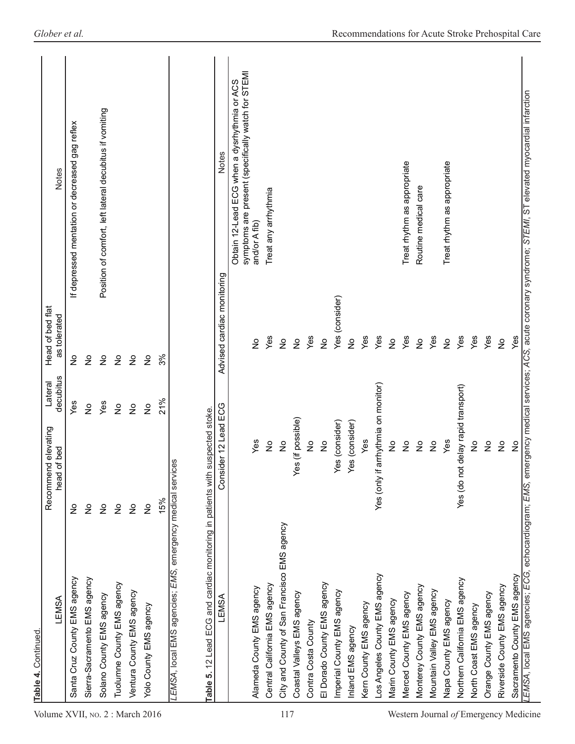| Table 4. Continued                                                            |                                       |                      |                                  |                                                                                                                                                       |
|-------------------------------------------------------------------------------|---------------------------------------|----------------------|----------------------------------|-------------------------------------------------------------------------------------------------------------------------------------------------------|
| LEMSA                                                                         | Recommend elevating<br>head of bed    | decubitus<br>Lateral | Head of bed flat<br>as tolerated | <b>Notes</b>                                                                                                                                          |
|                                                                               |                                       |                      |                                  |                                                                                                                                                       |
| Santa Cruz County EMS agency                                                  | $\frac{9}{2}$                         | Yes                  | $\frac{1}{2}$                    | If depressed mentation or decreased gag reflex                                                                                                        |
| Sierra-Sacramento EMS agency                                                  | $\frac{1}{2}$                         | $\frac{6}{5}$        | $\frac{1}{2}$                    |                                                                                                                                                       |
| Solano County EMS agency                                                      | $\stackrel{\circ}{\simeq}$            | Yes                  | $\stackrel{\mathtt{o}}{z}$       | Position of comfort, left lateral decubitus if vomiting                                                                                               |
| Tuolumne County EMS agency                                                    | $\stackrel{\mathtt{o}}{z}$            | $\frac{1}{2}$        | $\frac{9}{2}$                    |                                                                                                                                                       |
| Ventura County EMS agency                                                     | $\stackrel{\circ}{\simeq}$            | $\frac{1}{2}$        | $\stackrel{\circ}{\simeq}$       |                                                                                                                                                       |
| Yolo County EMS agency                                                        | $\stackrel{\circ}{\simeq}$            | $\frac{1}{2}$        | $\stackrel{\mathtt{o}}{z}$       |                                                                                                                                                       |
|                                                                               | 15%                                   | 21%                  | 3%                               |                                                                                                                                                       |
| LEMSA, local EMS agencies; EMS, emergency medical services                    |                                       |                      |                                  |                                                                                                                                                       |
| Table 5. 12 Lead ECG and cardiac monitoring in patients with suspected stoke. |                                       |                      |                                  |                                                                                                                                                       |
| LEMSA                                                                         | Consider 12 Lead ECG                  |                      | Advised cardiac monitoring       | <b>Notes</b>                                                                                                                                          |
|                                                                               |                                       |                      |                                  | symptoms are present (specifically watch for STEMI<br>Obtain 12-Lead ECG when a dysrhythmia or ACS                                                    |
| Alameda County EMS agency                                                     | Yes                                   |                      | $\frac{6}{5}$                    | and/or A fib)                                                                                                                                         |
| Central California EMS agency                                                 | $\frac{1}{2}$                         |                      | Yes                              | Treat any arrhythmia                                                                                                                                  |
| City and County of San Francisco EMS agency                                   | $\frac{1}{2}$                         |                      | $\frac{1}{2}$                    |                                                                                                                                                       |
| Coastal Valleys EMS agency                                                    | Yes (if possible)                     |                      | $\frac{1}{2}$                    |                                                                                                                                                       |
| Contra Costa County                                                           | $\frac{\circ}{\mathsf{Z}}$            |                      | Yes                              |                                                                                                                                                       |
| El Dorado County EMS agency                                                   | $\frac{1}{2}$                         |                      | $\frac{1}{2}$                    |                                                                                                                                                       |
| Imperial County EMS agency                                                    | Yes (consider)                        |                      | Yes (consider)                   |                                                                                                                                                       |
| Inland EMS agency                                                             | Yes (consider)                        |                      | $\frac{1}{2}$                    |                                                                                                                                                       |
| Kern County EMS agency                                                        | Yes                                   |                      | Yes                              |                                                                                                                                                       |
| Los Angeles County EMS agency                                                 | Yes (only if arrhythmia on monitor)   |                      | Yes                              |                                                                                                                                                       |
| Marin County EMS agency                                                       | $\overset{\circ}{\mathsf{z}}$         |                      | $\frac{1}{2}$                    |                                                                                                                                                       |
| Merced County EMS agency                                                      | $\frac{1}{2}$                         |                      | Yes                              | Treat rhythm as appropriate                                                                                                                           |
| Monterey County EMS agency                                                    | $\frac{1}{2}$                         |                      | $\frac{1}{2}$                    | Routine medical care                                                                                                                                  |
| Mountain Valley EMS agency                                                    | $\frac{1}{2}$                         |                      | Yes                              |                                                                                                                                                       |
| Napa County EMS agency                                                        | Yes                                   |                      | $\frac{1}{2}$                    | Treat rhythm as appropriate                                                                                                                           |
| Northern California EMS agency                                                | delay rapid transport)<br>Yes (do not |                      | Yes                              |                                                                                                                                                       |
| North Coast EMS agency                                                        | $\frac{\circ}{\mathsf{Z}}$            |                      | Yes                              |                                                                                                                                                       |
| Orange County EMS agency                                                      | $\frac{1}{2}$                         |                      | Yes                              |                                                                                                                                                       |
| Riverside County EMS agency                                                   | $\frac{1}{2}$                         |                      | $\frac{1}{2}$                    |                                                                                                                                                       |
| Sacramento County EMS agency                                                  | $\frac{1}{2}$                         |                      | Yes                              |                                                                                                                                                       |
|                                                                               |                                       |                      |                                  | EMSA, local EMS agencies; ECG, echocardiogram; EMS, emergency medical services; ACS, acute coronary syndrome; STEM, ST elevated myocardial infarction |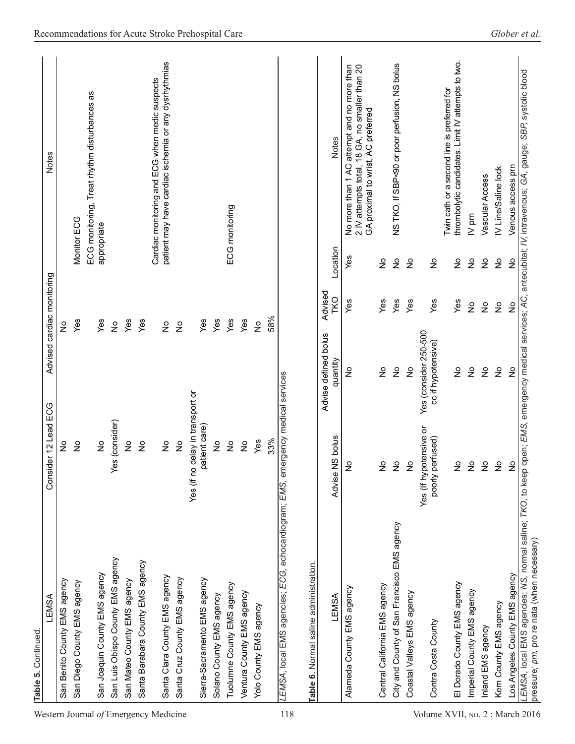| Table 5. Continued                                                                                                                                                                                                |                                                   |                                             |                       |                            |                                                                                                         |
|-------------------------------------------------------------------------------------------------------------------------------------------------------------------------------------------------------------------|---------------------------------------------------|---------------------------------------------|-----------------------|----------------------------|---------------------------------------------------------------------------------------------------------|
| LEMSA                                                                                                                                                                                                             | Consider 12 Lead ECG                              | Advised cardiac monitoring                  |                       |                            | <b>Notes</b>                                                                                            |
| San Benito County EMS agency                                                                                                                                                                                      | $\frac{1}{2}$                                     | $\frac{1}{2}$                               |                       |                            |                                                                                                         |
| San Diego County EMS agency                                                                                                                                                                                       | $\frac{1}{2}$                                     |                                             | Yes                   | Monitor ECG                |                                                                                                         |
|                                                                                                                                                                                                                   |                                                   |                                             |                       |                            | ECG monitoring, Treat rhythm disturbances as                                                            |
| San Joaquin County EMS agency                                                                                                                                                                                     | $\frac{1}{2}$                                     |                                             | Yes                   | appropriate                |                                                                                                         |
| San Luis Obispo County EMS agency                                                                                                                                                                                 | Yes (consider)                                    | $\frac{1}{2}$                               |                       |                            |                                                                                                         |
| San Mateo County EMS agency                                                                                                                                                                                       | $\frac{1}{2}$                                     |                                             | Yes                   |                            |                                                                                                         |
| Santa Barabara County EMS agency                                                                                                                                                                                  | $\frac{1}{2}$                                     |                                             | Yes                   |                            |                                                                                                         |
| Santa Clara County EMS agency                                                                                                                                                                                     | $\frac{1}{2}$                                     | $\frac{1}{2}$                               |                       |                            | patient may have cardiac ischemia or any dysrhythmias<br>Cardiac monitoring and ECG when medic suspects |
| Santa Cruz County EMS agency                                                                                                                                                                                      | $\frac{1}{2}$                                     | $\frac{1}{2}$                               |                       |                            |                                                                                                         |
| Sierra-Sacramento EMS agency                                                                                                                                                                                      | Yes (if no delay in transport or<br>patient care) |                                             | Yes                   |                            |                                                                                                         |
| Solano County EMS agency                                                                                                                                                                                          | $\frac{1}{2}$                                     |                                             | Yes                   |                            |                                                                                                         |
| Tuolumne County EMS agency                                                                                                                                                                                        | $\frac{1}{2}$                                     |                                             | Yes                   |                            | ECG monitoring                                                                                          |
| Ventura County EMS agency                                                                                                                                                                                         | $\frac{1}{2}$                                     |                                             | Yes                   |                            |                                                                                                         |
| Yolo County EMS agency                                                                                                                                                                                            | Yes                                               |                                             | $\frac{1}{2}$         |                            |                                                                                                         |
|                                                                                                                                                                                                                   | 33%                                               |                                             | 58%                   |                            |                                                                                                         |
| Table 6. Normal saline administration.                                                                                                                                                                            |                                                   |                                             |                       |                            |                                                                                                         |
| LEMSA                                                                                                                                                                                                             | Advise NS bolus                                   | Advise defined bolus<br>quantity            | Advised<br><b>TKO</b> | Location                   | <b>Notes</b>                                                                                            |
| Alameda County EMS agency                                                                                                                                                                                         | $\frac{1}{2}$                                     | $\stackrel{\mathtt{o}}{z}$                  | Yes                   | Yes                        | No more than 1 AC attempt and no more than                                                              |
|                                                                                                                                                                                                                   |                                                   |                                             |                       |                            | 2 IV attempts total, 18 GA, no smaller than 20<br>GA proximal to wrist, AC preferred                    |
| Central California EMS agency                                                                                                                                                                                     | $\frac{1}{2}$                                     | $\frac{1}{2}$                               | Yes                   | $\frac{1}{2}$              |                                                                                                         |
| City and County of San Francisco EMS agency                                                                                                                                                                       | $\frac{1}{2}$                                     | $\frac{\circ}{2}$                           | Yes                   | $\stackrel{\mathtt{o}}{z}$ | NS TKO, If SBP<90 or poor perfusion, NS bolus                                                           |
| Coastal Valleys EMS agency                                                                                                                                                                                        | $\frac{1}{2}$                                     | $\frac{1}{2}$                               | Yes                   | $\tilde{z}$                |                                                                                                         |
| Contra Costa County                                                                                                                                                                                               | Yes (If hypotensive or<br>perfused)<br>poorly     | Yes (consider 250-500<br>cc if hypotensive) | Yes                   | $\stackrel{\circ}{\simeq}$ |                                                                                                         |
| El Dorado County EMS agency                                                                                                                                                                                       | $\frac{1}{2}$                                     | $\frac{1}{2}$                               | Yes                   | $\frac{1}{2}$              | thrombolytic candidates. Limit IV attempts to two.<br>Twin cath or a second line is preferred for       |
| Imperial County EMS agency                                                                                                                                                                                        | $\frac{1}{2}$                                     | $\frac{1}{2}$                               | $\frac{1}{2}$         | $\frac{1}{2}$              | IV prn                                                                                                  |
| Inland EMS agency                                                                                                                                                                                                 | $\frac{1}{2}$                                     | $\frac{1}{2}$                               | $\frac{1}{2}$         | $\frac{1}{2}$              | Vascular Access                                                                                         |
| Kern County EMS agency                                                                                                                                                                                            | $\frac{1}{2}$                                     | $\frac{1}{2}$                               | $\frac{1}{2}$         | $\frac{1}{2}$              | IV Line/Saline lock                                                                                     |
| Los Angeles County EMS agency                                                                                                                                                                                     | $\frac{1}{2}$                                     | $\frac{1}{2}$                               | $\frac{1}{2}$         | $\frac{1}{2}$              | Venous access prn                                                                                       |
| LEMSA, local EMS agencies; NS, normal saline; TKO, to keep open; EMS, emergency medical services; AC, antecubital; IV, intravenous; GA, gauge; SBP, systolic blood<br>pressure; prn, pro re nata (when necessary) |                                                   |                                             |                       |                            |                                                                                                         |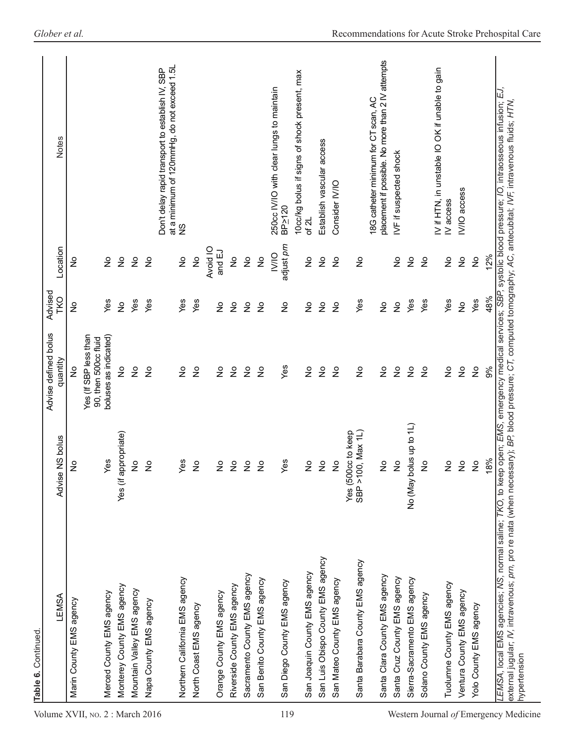| Table 6. Continued                                                                                                                                                                                                                                                                                                                                  |                                         |                                               |                |                         |                                                                                                 |
|-----------------------------------------------------------------------------------------------------------------------------------------------------------------------------------------------------------------------------------------------------------------------------------------------------------------------------------------------------|-----------------------------------------|-----------------------------------------------|----------------|-------------------------|-------------------------------------------------------------------------------------------------|
| LEMSA                                                                                                                                                                                                                                                                                                                                               | Advise NS bolus                         | Advise defined bolus<br>quantity              | Advised<br>TKO | Location                | <b>Notes</b>                                                                                    |
| Marin County EMS agency                                                                                                                                                                                                                                                                                                                             | $\frac{1}{2}$                           | $\frac{1}{2}$                                 | ş              | ş                       |                                                                                                 |
|                                                                                                                                                                                                                                                                                                                                                     |                                         | Yes (If SBP less than<br>90, then 500cc fluid |                |                         |                                                                                                 |
| Merced County EMS agency                                                                                                                                                                                                                                                                                                                            | Yes                                     | boluses as indicated)                         | Yes            | $\frac{1}{2}$           |                                                                                                 |
| Monterey County EMS agency                                                                                                                                                                                                                                                                                                                          | Yes (if appropriate)                    | $\frac{1}{2}$                                 | $\frac{1}{2}$  | $\frac{1}{2}$           |                                                                                                 |
| Mountain Valley EMS agency                                                                                                                                                                                                                                                                                                                          | $\frac{1}{2}$                           | $\frac{1}{2}$                                 | Yes            | $\frac{1}{2}$           |                                                                                                 |
| Napa County EMS agency                                                                                                                                                                                                                                                                                                                              | $\frac{1}{2}$                           | $\frac{1}{2}$                                 | Yes            | $\frac{1}{2}$           |                                                                                                 |
|                                                                                                                                                                                                                                                                                                                                                     |                                         |                                               |                |                         | at a minimum of 120mmHg, do not exceed 1.5L<br>Don't delay rapid transport to establish IV, SBP |
| Northern California EMS agency                                                                                                                                                                                                                                                                                                                      | Yes                                     | $\frac{1}{2}$                                 | Yes            | $\frac{1}{2}$           | $\frac{8}{2}$                                                                                   |
| North Coast EMS agency                                                                                                                                                                                                                                                                                                                              | $\frac{1}{2}$                           | $\frac{1}{2}$                                 | Yes            | $\frac{1}{2}$           |                                                                                                 |
| Orange County EMS agency                                                                                                                                                                                                                                                                                                                            | ş                                       | $\frac{1}{2}$                                 | $\frac{1}{2}$  | Avoid IO<br>and EJ      |                                                                                                 |
| Riverside County EMS agency                                                                                                                                                                                                                                                                                                                         | $\frac{1}{2}$                           | $\frac{1}{2}$                                 | $\frac{1}{2}$  | $\frac{1}{2}$           |                                                                                                 |
| Sacramento County EMS agency                                                                                                                                                                                                                                                                                                                        | $\frac{1}{2}$                           | $\frac{1}{2}$                                 | $\epsilon$     | $\frac{1}{2}$           |                                                                                                 |
| San Benito County EMS agency                                                                                                                                                                                                                                                                                                                        | $\frac{1}{2}$                           | $\frac{1}{2}$                                 | $\epsilon$     | $\frac{1}{2}$           |                                                                                                 |
| San Diego County EMS agency                                                                                                                                                                                                                                                                                                                         | Yes                                     | Yes                                           | $\frac{1}{2}$  | adjust pm<br><b>DIM</b> | 250cc IV/IO with clear lungs to maintain<br>BP <sub>2120</sub>                                  |
| San Joaquin County EMS agency                                                                                                                                                                                                                                                                                                                       | $\frac{1}{2}$                           | $\frac{1}{2}$                                 | $\frac{1}{2}$  | $\frac{1}{2}$           | 10cc/kg bolus if signs of shock present, max<br>of 2L                                           |
| San Luis Obispo County EMS agency                                                                                                                                                                                                                                                                                                                   | $\frac{1}{2}$                           | $\frac{1}{2}$                                 | $\frac{1}{2}$  | $\frac{1}{2}$           | Establish vascular access                                                                       |
| San Mateo County EMS agency                                                                                                                                                                                                                                                                                                                         | $\frac{1}{2}$                           | $\frac{1}{2}$                                 | $\frac{1}{2}$  | $\frac{1}{2}$           | Consider IV/IO                                                                                  |
| Santa Barabara County EMS agency                                                                                                                                                                                                                                                                                                                    | SBP >100, Max 1L)<br>Yes (500cc to keep | $\frac{1}{2}$                                 | Yes            | $\frac{1}{2}$           |                                                                                                 |
| Santa Clara County EMS agency                                                                                                                                                                                                                                                                                                                       | ş                                       | $\stackrel{\circ}{\simeq}$                    | $\frac{1}{2}$  |                         | placement if possible. No more than 2 IV attempts<br>18G catheter minimum for CT scan, AC       |
| Santa Cruz County EMS agency                                                                                                                                                                                                                                                                                                                        | $\frac{1}{2}$                           | $\stackrel{\circ}{\simeq}$                    | $\frac{1}{2}$  | ş                       | IVF if suspected shock                                                                          |
| Sierra-Sacramento EMS agency                                                                                                                                                                                                                                                                                                                        | No (May bolus up to 1L)                 | $\stackrel{\circ}{\simeq}$                    | Yes            | $\frac{1}{2}$           |                                                                                                 |
| Solano County EMS agency                                                                                                                                                                                                                                                                                                                            | $\frac{1}{2}$                           | $\frac{1}{2}$                                 | Yes            | $\frac{1}{2}$           |                                                                                                 |
| Tuolumne County EMS agency                                                                                                                                                                                                                                                                                                                          | $\frac{1}{2}$                           | $\frac{1}{2}$                                 | Yes            | $\frac{1}{2}$           | IV if HTN, in unstable IO OK if unable to gain<br>IV access                                     |
| Ventura County EMS agency                                                                                                                                                                                                                                                                                                                           | $\frac{1}{2}$                           | $\frac{1}{2}$                                 | $\frac{1}{2}$  | $\frac{1}{2}$           | IV/IO access                                                                                    |
| Yolo County EMS agency                                                                                                                                                                                                                                                                                                                              | $\frac{1}{2}$                           | $\frac{1}{2}$                                 | Yes            | $\frac{1}{2}$           |                                                                                                 |
|                                                                                                                                                                                                                                                                                                                                                     | 18%                                     | 9%                                            | 48%            | 12%                     |                                                                                                 |
| LEMSA, local EMS agencies; NS, normal saline; TKO, to keep open; EMS, emergency medical services; SBP, systolic blood pressure; IO, intraosseous infusion; EJ,<br>external jugular; IV, intravenous; pro, pro re nata (when necessary); BP, blood pressure; CT, computed tomography; AC, antecubital; IVF, intravenous fluids; HTN,<br>hypertension |                                         |                                               |                |                         |                                                                                                 |
|                                                                                                                                                                                                                                                                                                                                                     |                                         |                                               |                |                         |                                                                                                 |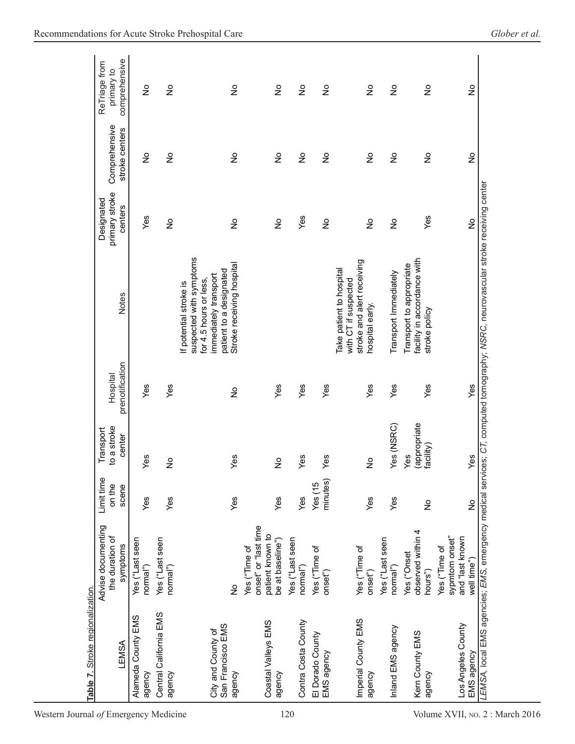| Table 7. Stroke regionalization.                  |                                                                               |                      |                                 |                 |                                                                                                                                                              |                              |                |                             |
|---------------------------------------------------|-------------------------------------------------------------------------------|----------------------|---------------------------------|-----------------|--------------------------------------------------------------------------------------------------------------------------------------------------------------|------------------------------|----------------|-----------------------------|
|                                                   | Advise documenting<br>the duration of                                         | Limit time<br>on the | to a stroke<br>Transport        | Hospital        |                                                                                                                                                              | primary stroke<br>Designated | Comprehensive  | ReTriage from<br>primary to |
| LEMSA                                             | symptoms                                                                      | scene                | center                          | prenotification | Notes                                                                                                                                                        | centers                      | stroke centers | comprehensive               |
| Alameda County EMS<br>agency                      | Yes ("Last seen<br>normal")                                                   | Yes                  | yes                             | Yes             |                                                                                                                                                              | Yes                          | $\frac{1}{2}$  | $\frac{1}{2}$               |
| Central California EMS<br>agency                  | Yes ("Last seen<br>normal")                                                   | Yes                  | $\tilde{z}$                     | Yes             |                                                                                                                                                              | $\frac{1}{2}$                | $\frac{1}{2}$  | $\epsilon$                  |
| San Francisco EMS<br>City and County of<br>agency | $\frac{1}{2}$                                                                 | Yes                  | yes                             | $\frac{1}{2}$   | suspected with symptoms<br>Stroke receiving hospital<br>patient to a designated<br>immediately transport<br>for 4.5 hours or less,<br>If potential stroke is | $\frac{1}{2}$                | $\frac{1}{2}$  | $\frac{1}{2}$               |
| Coastal Valleys EMS<br>agency                     | onset" or "last time<br>patient known to<br>be at baseline")<br>Yes ("Time of | Yes                  | $\frac{1}{2}$                   | Yes             |                                                                                                                                                              | $\frac{1}{2}$                | $\frac{1}{2}$  | $\epsilon$                  |
| Contra Costa County                               | Yes ("Last seen<br>normal")                                                   | Yes                  | es                              | Yes             |                                                                                                                                                              | Yes                          | $\frac{1}{2}$  | $\frac{1}{2}$               |
| El Dorado County<br>EMS agency                    | Yes ("Time of<br>onset")                                                      | minutes)<br>Yes(15)  | yes                             | Yes             |                                                                                                                                                              | $\frac{1}{2}$                | $\frac{1}{2}$  | $\frac{1}{2}$               |
| Imperial County EMS<br>agency                     | Yes ("Time of<br>onset")                                                      | Yes                  | $\frac{1}{2}$                   | Yes             | stroke and alert receiving<br>Take patient to hospital<br>with CT if suspected<br>hospital early.                                                            | $\frac{1}{2}$                | $\frac{1}{2}$  | $\frac{1}{2}$               |
| Inland EMS agency                                 | Yes ("Last seen<br>normal")                                                   | Yes                  | Yes (NSRC)                      | Yes             | Transport Immediately                                                                                                                                        | ş                            | $\frac{1}{2}$  | ş                           |
| Kern County EMS<br>agency                         | observed within 4<br>Yes ("Onset<br>hours")                                   | $\frac{1}{2}$        | appropriate<br>facility)<br>yes | Yes             | facility in accordance with<br>Transport to appropriate<br>stroke policy                                                                                     | Yes                          | $\frac{1}{2}$  | $\frac{1}{2}$               |
| Los Angeles County<br>EMS agency                  | sypmtom onset"<br>and "last known<br>Yes ("Time of<br>well time")             | $\frac{1}{2}$        | yes                             | Yes             |                                                                                                                                                              | $\frac{1}{2}$                | $\frac{1}{2}$  | $\frac{1}{2}$               |
|                                                   |                                                                               |                      |                                 |                 | LEMSA, local EMS agencies; EMS, emergency medical services; CT, computed tomography; NSRC, neurovascular stroke receiving center                             |                              |                |                             |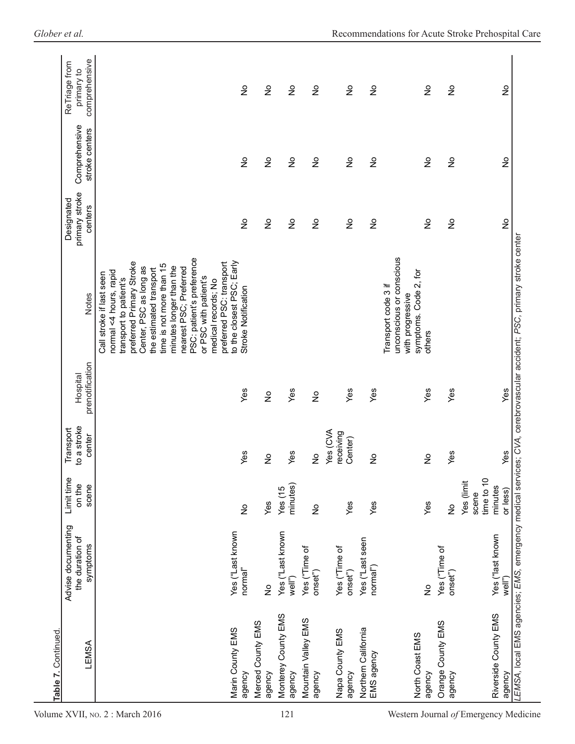| Table 7. Continued                |                             |                                                          |                                  |                             |                                                                                                                                                                                                                                                                                                                                                                                                                    |                            |                                 |                             |
|-----------------------------------|-----------------------------|----------------------------------------------------------|----------------------------------|-----------------------------|--------------------------------------------------------------------------------------------------------------------------------------------------------------------------------------------------------------------------------------------------------------------------------------------------------------------------------------------------------------------------------------------------------------------|----------------------------|---------------------------------|-----------------------------|
|                                   | Advise documenting          | Limit time                                               | Transport                        |                             |                                                                                                                                                                                                                                                                                                                                                                                                                    | Designated                 |                                 | ReTriage from               |
| LEMSA                             | the duration of<br>symptoms | on the<br>scene                                          | to a stroke<br>center            | prenotification<br>Hospital | <b>Notes</b>                                                                                                                                                                                                                                                                                                                                                                                                       | primary stroke<br>centers  | Comprehensive<br>stroke centers | comprehensive<br>primary to |
| Marin County EMS<br>agency        | Yes ("Last known<br>normal" | $\frac{1}{2}$                                            | Yes                              | Yes                         | PSC: patient's preference<br>preferred Primary Stroke<br>to the closest PSC; Early<br>preferred PSC: transport<br>time is not more than 15<br>minutes longer than the<br>Center, PSC as long as<br>nearest PSC; Preferred<br>the estimated transport<br>normal <4 hours, rapid<br>Call stroke if last seen<br>or PSC with patient's<br>transport to patient's<br>medical records; No<br><b>Stroke Notification</b> | $\frac{1}{2}$              | $\frac{1}{2}$                   | $\frac{1}{2}$               |
| Merced County EMS<br>agency       | $\frac{1}{2}$               | Yes                                                      | $\frac{1}{2}$                    | $\stackrel{\mathtt{o}}{z}$  |                                                                                                                                                                                                                                                                                                                                                                                                                    | $\frac{1}{2}$              | $\stackrel{\mathtt{o}}{z}$      | $\tilde{z}$                 |
| Monterey County EMS<br>agency     | Yes ("Last known<br>well")  | minutes)<br>Yes(15)                                      | Yes                              | Yes                         |                                                                                                                                                                                                                                                                                                                                                                                                                    | $\frac{1}{2}$              | $\stackrel{\mathtt{o}}{z}$      | $\frac{1}{2}$               |
| Mountain Valley EMS<br>agency     | Yes ("Time of<br>$onset$ ") | $\stackrel{\mathtt{o}}{z}$                               | $\frac{1}{2}$                    | $\stackrel{\mathtt{o}}{z}$  |                                                                                                                                                                                                                                                                                                                                                                                                                    | $\frac{1}{2}$              | $\stackrel{\mathtt{o}}{z}$      | $\frac{1}{2}$               |
| Napa County EMS<br>agency         | Yes ("Time of<br>onset")    | Yes                                                      | Yes (CVA<br>receiving<br>Center) | Yes                         |                                                                                                                                                                                                                                                                                                                                                                                                                    | $\stackrel{\mathtt{o}}{z}$ | $\stackrel{\mathtt{o}}{z}$      | $\stackrel{\circ}{\simeq}$  |
| Northern California<br>EMS agency | Yes ("Last seen<br>normal") | Yes                                                      | $\frac{1}{2}$                    | Yes                         |                                                                                                                                                                                                                                                                                                                                                                                                                    | $\frac{1}{2}$              | $\epsilon$                      | $\frac{1}{2}$               |
| North Coast EMS<br>agency         | $\frac{1}{2}$               | Yes                                                      | $\frac{1}{2}$                    | Yes                         | unconscious or conscious<br>symptoms. Code 2, for<br>Transport code 3 if<br>with progressive<br>others                                                                                                                                                                                                                                                                                                             | $\frac{1}{2}$              | $\frac{1}{2}$                   | $\stackrel{\circ}{\simeq}$  |
| Orange County EMS<br>agency       | Yes ("Time of<br>onset")    | $\frac{1}{2}$                                            | Yes                              | Yes                         |                                                                                                                                                                                                                                                                                                                                                                                                                    | $\frac{1}{2}$              | $\stackrel{\circ}{\simeq}$      | $\epsilon$                  |
| Riverside County EMS<br>agency    | Yes ("last known<br>well")  | time to 10<br>Yes (limit<br>minutes<br>or less)<br>scene | Yes                              | Yes                         |                                                                                                                                                                                                                                                                                                                                                                                                                    | $\stackrel{\circ}{\simeq}$ | $\frac{1}{2}$                   | $\frac{1}{2}$               |
|                                   |                             |                                                          |                                  |                             | LEMSA, local EMS agencies; EMS, emergency medical services; CVA, cerebrovascular accident; PSC, primary stroke center                                                                                                                                                                                                                                                                                              |                            |                                 |                             |

Volume XVII, no. 2 : March 2016 121 Western Journal *of* Emergency Medicine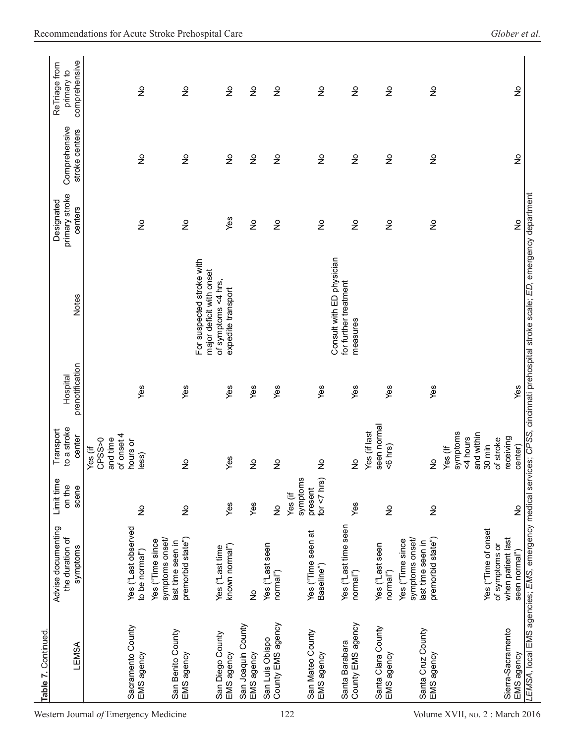| Table 7. Continued                   |                                                                               |                                                  |                                                                                             |                             |                                                                                                                                 |                                         |                                 |                                              |
|--------------------------------------|-------------------------------------------------------------------------------|--------------------------------------------------|---------------------------------------------------------------------------------------------|-----------------------------|---------------------------------------------------------------------------------------------------------------------------------|-----------------------------------------|---------------------------------|----------------------------------------------|
| LEMSA                                | Advise documenting<br>the duration of<br>symptoms                             | Limit time<br>on the<br>scene                    | to a stroke<br>Transport<br>center                                                          | prenotification<br>Hospital | <b>Notes</b>                                                                                                                    | primary stroke<br>Designated<br>centers | Comprehensive<br>stroke centers | comprehensive<br>ReTriage from<br>primary to |
| Sacramento County<br>EMS agency      | Yes ("Last observed<br>to be normal")                                         | $\frac{\circ}{\mathsf{Z}}$                       | of onset 4<br>CPSS>0<br>and time<br>hours or<br>fes (if<br>less)                            | Yes                         |                                                                                                                                 | $\frac{1}{2}$                           | $\stackrel{\circ}{\simeq}$      | $\stackrel{\circ}{\simeq}$                   |
| San Benito County<br>EMS agency      | premorbid state")<br>symptoms onset/<br>Yes ("Time since<br>last time seen in | $\frac{1}{2}$                                    | $\frac{1}{2}$                                                                               | Yes                         |                                                                                                                                 | $\frac{1}{2}$                           | $\frac{1}{2}$                   | $\frac{1}{2}$                                |
| San Diego County<br>EMS agency       | known normal")<br>Yes ("Last time                                             | Yes                                              | ĝΘ                                                                                          | Yes                         | For suspected stroke with<br>major deficit with onset<br>of symptoms <4 hrs,<br>expedite transport                              | Yes                                     | $\stackrel{\mathtt{o}}{z}$      | $\stackrel{\mathtt{o}}{z}$                   |
| San Joaquin County<br>EMS agency     | $\frac{1}{2}$                                                                 | Yes                                              | $\frac{1}{2}$                                                                               | Yes                         |                                                                                                                                 | $\stackrel{\mathtt{o}}{z}$              | $\stackrel{\circ}{\simeq}$      | $\stackrel{\circ}{\simeq}$                   |
| County EMS agency<br>San Luis Obispo | Yes ("Last seen<br>normal")                                                   | $\frac{1}{2}$                                    | $\frac{1}{2}$                                                                               | Yes                         |                                                                                                                                 | $\frac{1}{2}$                           | $\frac{9}{2}$                   | $\epsilon$                                   |
| San Mateo County<br>EMS agency       | Yes ("Time seen at<br>Baseline")                                              | symptoms<br>for $<$ 7 hrs)<br>present<br>Yes (if | $\frac{1}{2}$                                                                               | Yes                         |                                                                                                                                 | $\stackrel{\mathtt{o}}{z}$              | $\stackrel{\mathtt{o}}{z}$      | $\frac{1}{2}$                                |
| County EMS agency<br>Santa Barabara  | Yes ("Last time seen<br>normal")                                              | Yes                                              | $\frac{1}{2}$                                                                               | Yes                         | Consult with ED physician<br>for further treatment<br>measures                                                                  | $\frac{1}{2}$                           | $\stackrel{\mathtt{o}}{z}$      | $\frac{1}{2}$                                |
| Santa Clara County<br>EMS agency     | Yes ("Last seen<br>normal")                                                   | $\frac{1}{2}$                                    | seen normal<br>es (if last<br>50(16)                                                        | Yes                         |                                                                                                                                 | $\frac{1}{2}$                           | $\frac{1}{2}$                   | $\frac{1}{2}$                                |
| Santa Cruz County<br>EMS agency      | premorbid state")<br>symptoms onset/<br>Yes ("Time since<br>last time seen in | $\frac{1}{2}$                                    | $\frac{1}{2}$                                                                               | Yes                         |                                                                                                                                 | $\frac{1}{2}$                           | $\stackrel{\mathtt{o}}{z}$      | $\stackrel{\mathtt{o}}{z}$                   |
| Sierra-Sacramento<br>EMS agency      | Yes ("Time of onset<br>when patient last<br>of symptoms or<br>seen normal")   | $\frac{1}{2}$                                    | symptoms<br>and within<br>eceiving<br><4 hours<br>of stroke<br>30 min<br>center)<br>Yes (If | Yes                         |                                                                                                                                 | $\frac{1}{2}$                           | ş                               | ş                                            |
|                                      |                                                                               |                                                  |                                                                                             |                             | LEMSA, local EMS agencies; EMS, emergency medical services; CPSS, cincinnati prehospital stroke scale; ED, emergency department |                                         |                                 |                                              |

Western Journal of Emergency Medicine 122 Volume XVII, No. 2 : March 2016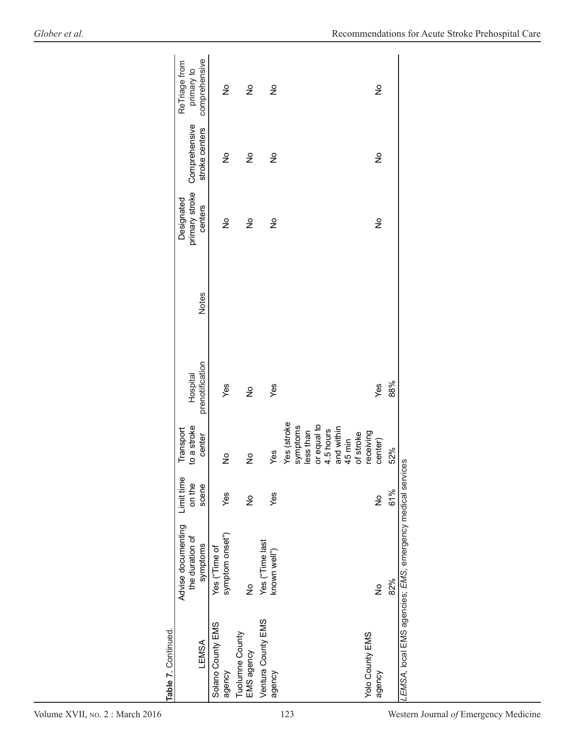| Table 7. Continued                                         |                                       |                      |                          |                 |       |               |                              |                             |
|------------------------------------------------------------|---------------------------------------|----------------------|--------------------------|-----------------|-------|---------------|------------------------------|-----------------------------|
|                                                            | Advise documenting<br>the duration of | Limit time<br>on the | to a stroke<br>Transport | Hospital        |       | Designated    | primary stroke Comprehensive | ReTriage from<br>primary to |
| LEMSA                                                      | symptoms                              | scene                | center                   | prenotification | Notes | centers       | stroke centers               | comprehensive               |
| Solano County EMS                                          | Yes ("Time of                         |                      |                          |                 |       |               |                              |                             |
| agency                                                     | symptom onset")                       | Yes                  | $\frac{1}{2}$            | Yes             |       | $\frac{1}{2}$ | $\frac{1}{2}$                | $\frac{1}{2}$               |
| Tuolumne County                                            |                                       |                      |                          |                 |       |               |                              |                             |
| EMS agency                                                 | $\frac{1}{2}$                         | ş                    | $\frac{1}{2}$            | $\frac{1}{2}$   |       | $\frac{1}{2}$ | $\frac{1}{2}$                | $\frac{1}{2}$               |
| Ventura County EMS                                         | Yes ("Time last                       |                      |                          |                 |       |               |                              |                             |
| agency                                                     | known well")                          | Yes                  | Yes                      | Yes             |       | $\frac{1}{2}$ | $\frac{1}{2}$                | $\frac{1}{2}$               |
|                                                            |                                       |                      | Yes (stroke              |                 |       |               |                              |                             |
|                                                            |                                       |                      |                          |                 |       |               |                              |                             |
|                                                            |                                       |                      | symptoms                 |                 |       |               |                              |                             |
|                                                            |                                       |                      | less than                |                 |       |               |                              |                             |
|                                                            |                                       |                      | or equal to              |                 |       |               |                              |                             |
|                                                            |                                       |                      | 4.5 hours                |                 |       |               |                              |                             |
|                                                            |                                       |                      | and within               |                 |       |               |                              |                             |
|                                                            |                                       |                      | 45 min                   |                 |       |               |                              |                             |
|                                                            |                                       |                      | of stroke                |                 |       |               |                              |                             |
| Yolo County EMS                                            |                                       |                      | receiving                |                 |       |               |                              |                             |
| agency                                                     | $\tilde{z}$                           | $\frac{1}{2}$        | center)                  | Yes             |       | $\frac{1}{2}$ | $\frac{1}{2}$                | $\frac{1}{2}$               |
|                                                            | 82%                                   | 61%                  | 52%                      | 88%             |       |               |                              |                             |
| LEMSA, local EMS agencies; EMS, emergency medical services |                                       |                      |                          |                 |       |               |                              |                             |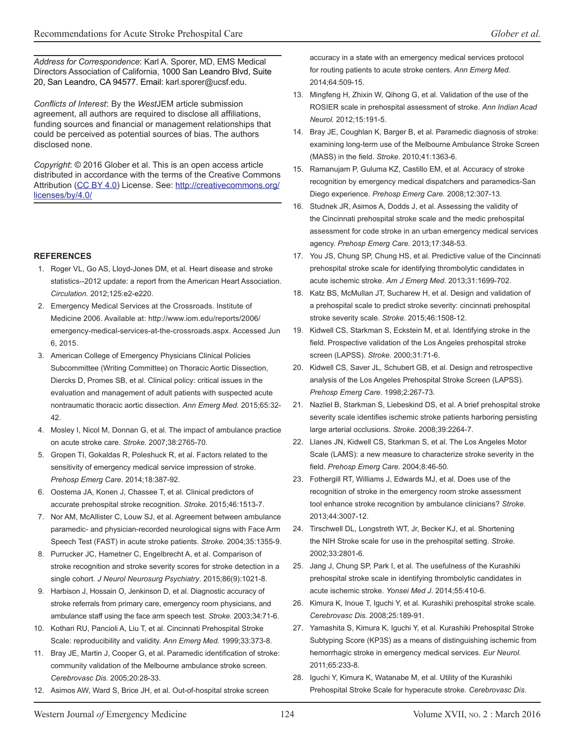*Address for Correspondence*: Karl A. Sporer, MD, EMS Medical Directors Association of California, 1000 San Leandro Blvd, Suite 20, San Leandro, CA 94577. Email: [karl.sporer@ucsf.edu](mailto:karl.sporer@ucsf.edu).

*Conflicts of Interest*: By the *West*JEM article submission agreement, all authors are required to disclose all affiliations, funding sources and financial or management relationships that could be perceived as potential sources of bias. The authors disclosed none.

*Copyright*: © 2016 Glober et al. This is an open access article distributed in accordance with the terms of the Creative Commons Attribution (CC BY 4.0) License. See: http://creativecommons.org/ licenses/by/4.0/

#### **REFERENCES**

- 1. Roger VL, Go AS, Lloyd-Jones DM, et al. Heart disease and stroke statistics--2012 update: a report from the American Heart Association. *Circulation.* 2012;125:e2-e220.
- 2. Emergency Medical Services at the Crossroads. Institute of Medicine 2006. Available at: http://www.iom.edu/reports/2006/ emergency-medical-services-at-the-crossroads.aspx. Accessed Jun 6, 2015.
- 3. American College of Emergency Physicians Clinical Policies Subcommittee (Writing Committee) on Thoracic Aortic Dissection, Diercks D, Promes SB, et al. Clinical policy: critical issues in the evaluation and management of adult patients with suspected acute nontraumatic thoracic aortic dissection. *Ann Emerg Med.* 2015;65:32- 42.
- 4. Mosley I, Nicol M, Donnan G, et al. The impact of ambulance practice on acute stroke care. *Stroke.* 2007;38:2765-70.
- 5. Gropen TI, Gokaldas R, Poleshuck R, et al. Factors related to the sensitivity of emergency medical service impression of stroke. *Prehosp Emerg Care.* 2014;18:387-92.
- 6. Oostema JA, Konen J, Chassee T, et al. Clinical predictors of accurate prehospital stroke recognition. *Stroke.* 2015;46:1513-7.
- 7. Nor AM, McAllister C, Louw SJ, et al. Agreement between ambulance paramedic- and physician-recorded neurological signs with Face Arm Speech Test (FAST) in acute stroke patients. *Stroke.* 2004;35:1355-9.
- 8. Purrucker JC, Hametner C, Engelbrecht A, et al. Comparison of stroke recognition and stroke severity scores for stroke detection in a single cohort. *J Neurol Neurosurg Psychiatry*. 2015;86(9):1021-8.
- 9. Harbison J, Hossain O, Jenkinson D, et al. Diagnostic accuracy of stroke referrals from primary care, emergency room physicians, and ambulance staff using the face arm speech test. *Stroke.* 2003;34:71-6.
- 10. Kothari RU, Pancioli A, Liu T, et al. Cincinnati Prehospital Stroke Scale: reproducibility and validity. *Ann Emerg Med.* 1999;33:373-8.
- 11. Bray JE, Martin J, Cooper G, et al. Paramedic identification of stroke: community validation of the Melbourne ambulance stroke screen. *Cerebrovasc Dis.* 2005;20:28-33.
- 12. Asimos AW, Ward S, Brice JH, et al. Out-of-hospital stroke screen

accuracy in a state with an emergency medical services protocol for routing patients to acute stroke centers. *Ann Emerg Med.* 2014;64:509-15.

- 13. Mingfeng H, Zhixin W, Qihong G, et al. Validation of the use of the ROSIER scale in prehospital assessment of stroke. *Ann Indian Acad Neurol.* 2012;15:191-5.
- 14. Bray JE, Coughlan K, Barger B, et al. Paramedic diagnosis of stroke: examining long-term use of the Melbourne Ambulance Stroke Screen (MASS) in the field. *Stroke.* 2010;41:1363-6.
- 15. Ramanujam P, Guluma KZ, Castillo EM, et al. Accuracy of stroke recognition by emergency medical dispatchers and paramedics-San Diego experience. *Prehosp Emerg Care.* 2008;12:307-13.
- 16. Studnek JR, Asimos A, Dodds J, et al. Assessing the validity of the Cincinnati prehospital stroke scale and the medic prehospital assessment for code stroke in an urban emergency medical services agency. *Prehosp Emerg Care.* 2013;17:348-53.
- 17. You JS, Chung SP, Chung HS, et al. Predictive value of the Cincinnati prehospital stroke scale for identifying thrombolytic candidates in acute ischemic stroke. *Am J Emerg Med.* 2013;31:1699-702.
- 18. Katz BS, McMullan JT, Sucharew H, et al. Design and validation of a prehospital scale to predict stroke severity: cincinnati prehospital stroke severity scale. *Stroke.* 2015;46:1508-12.
- 19. Kidwell CS, Starkman S, Eckstein M, et al. Identifying stroke in the field. Prospective validation of the Los Angeles prehospital stroke screen (LAPSS). *Stroke.* 2000;31:71-6.
- 20. Kidwell CS, Saver JL, Schubert GB, et al. Design and retrospective analysis of the Los Angeles Prehospital Stroke Screen (LAPSS). *Prehosp Emerg Care.* 1998;2:267-73.
- 21. Nazliel B, Starkman S, Liebeskind DS, et al. A brief prehospital stroke severity scale identifies ischemic stroke patients harboring persisting large arterial occlusions. *Stroke.* 2008;39:2264-7.
- 22. Llanes JN, Kidwell CS, Starkman S, et al. The Los Angeles Motor Scale (LAMS): a new measure to characterize stroke severity in the field. *Prehosp Emerg Care.* 2004;8:46-50.
- 23. Fothergill RT, Williams J, Edwards MJ, et al. Does use of the recognition of stroke in the emergency room stroke assessment tool enhance stroke recognition by ambulance clinicians? *Stroke.* 2013;44:3007-12.
- 24. Tirschwell DL, Longstreth WT, Jr, Becker KJ, et al. Shortening the NIH Stroke scale for use in the prehospital setting. *Stroke.* 2002;33:2801-6.
- 25. Jang J, Chung SP, Park I, et al. The usefulness of the Kurashiki prehospital stroke scale in identifying thrombolytic candidates in acute ischemic stroke. *Yonsei Med J.* 2014;55:410-6.
- 26. Kimura K, Inoue T, Iguchi Y, et al. Kurashiki prehospital stroke scale. *Cerebrovasc Dis.* 2008;25:189-91.
- 27. Yamashita S, Kimura K, Iguchi Y, et al. Kurashiki Prehospital Stroke Subtyping Score (KP3S) as a means of distinguishing ischemic from hemorrhagic stroke in emergency medical services. *Eur Neurol.* 2011;65:233-8.
- 28. Iguchi Y, Kimura K, Watanabe M, et al. Utility of the Kurashiki Prehospital Stroke Scale for hyperacute stroke. *Cerebrovasc Dis.*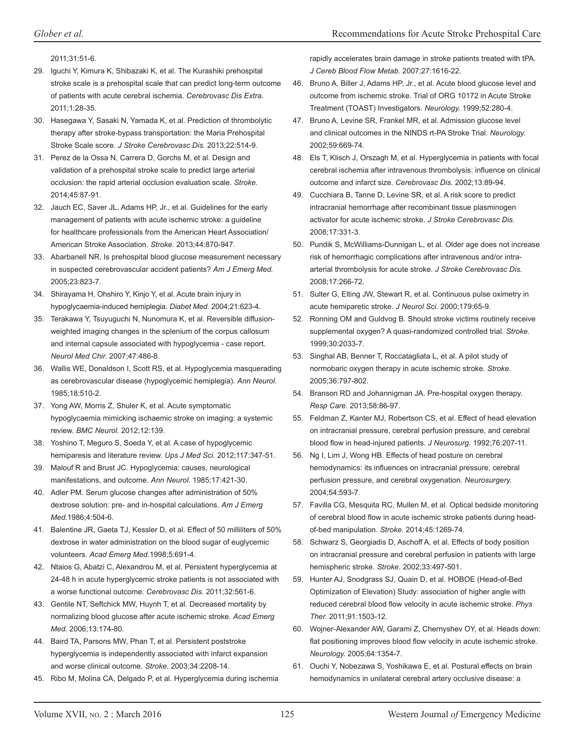#### 2011;31:51-6.

- 29. Iguchi Y, Kimura K, Shibazaki K, et al. The Kurashiki prehospital stroke scale is a prehospital scale that can predict long-term outcome of patients with acute cerebral ischemia. *Cerebrovasc Dis Extra.* 2011;1:28-35.
- 30. Hasegawa Y, Sasaki N, Yamada K, et al. Prediction of thrombolytic therapy after stroke-bypass transportation: the Maria Prehospital Stroke Scale score. *J Stroke Cerebrovasc Dis.* 2013;22:514-9.
- 31. Perez de la Ossa N, Carrera D, Gorchs M, et al. Design and validation of a prehospital stroke scale to predict large arterial occlusion: the rapid arterial occlusion evaluation scale. *Stroke.* 2014;45:87-91.
- 32. Jauch EC, Saver JL, Adams HP, Jr., et al. Guidelines for the early management of patients with acute ischemic stroke: a guideline for healthcare professionals from the American Heart Association/ American Stroke Association. *Stroke.* 2013;44:870-947.
- 33. Abarbanell NR. Is prehospital blood glucose measurement necessary in suspected cerebrovascular accident patients? *Am J Emerg Med.* 2005;23:823-7.
- 34. Shirayama H, Ohshiro Y, Kinjo Y, et al. Acute brain injury in hypoglycaemia-induced hemiplegia. *Diabet Med.* 2004;21:623-4.
- 35. Terakawa Y, Tsuyuguchi N, Nunomura K, et al. Reversible diffusionweighted imaging changes in the splenium of the corpus callosum and internal capsule associated with hypoglycemia - case report. *Neurol Med Chir.* 2007;47:486-8.
- 36. Wallis WE, Donaldson I, Scott RS, et al. Hypoglycemia masquerading as cerebrovascular disease (hypoglycemic hemiplegia). *Ann Neurol.* 1985;18:510-2.
- 37. Yong AW, Morris Z, Shuler K, et al. Acute symptomatic hypoglycaemia mimicking ischaemic stroke on imaging: a systemic review. *BMC Neurol.* 2012;12:139.
- 38. Yoshino T, Meguro S, Soeda Y, et al. A case of hypoglycemic hemiparesis and literature review. *Ups J Med Sci.* 2012;117:347-51.
- 39. Malouf R and Brust JC. Hypoglycemia: causes, neurological manifestations, and outcome. *Ann Neurol.* 1985;17:421-30.
- 40. Adler PM. Serum glucose changes after administration of 50% dextrose solution: pre- and in-hospital calculations. *Am J Emerg Med.*1986;4:504-6.
- 41. Balentine JR, Gaeta TJ, Kessler D, et al. Effect of 50 milliliters of 50% dextrose in water administration on the blood sugar of euglycemic volunteers. *Acad Emerg Med.*1998;5:691-4.
- 42. Ntaios G, Abatzi C, Alexandrou M, et al. Persistent hyperglycemia at 24-48 h in acute hyperglycemic stroke patients is not associated with a worse functional outcome. *Cerebrovasc Dis.* 2011;32:561-6.
- 43. Gentile NT, Seftchick MW, Huynh T, et al. Decreased mortality by normalizing blood glucose after acute ischemic stroke. *Acad Emerg Med.* 2006;13:174-80.
- 44. Baird TA, Parsons MW, Phan T, et al. Persistent poststroke hyperglycemia is independently associated with infarct expansion and worse clinical outcome. *Stroke.* 2003;34:2208-14.
- 45. Ribo M, Molina CA, Delgado P, et al. Hyperglycemia during ischemia

rapidly accelerates brain damage in stroke patients treated with tPA. *J Cereb Blood Flow Metab.* 2007;27:1616-22.

- 46. Bruno A, Biller J, Adams HP, Jr., et al. Acute blood glucose level and outcome from ischemic stroke. Trial of ORG 10172 in Acute Stroke Treatment (TOAST) Investigators. *Neurology.* 1999;52:280-4.
- 47. Bruno A, Levine SR, Frankel MR, et al. Admission glucose level and clinical outcomes in the NINDS rt-PA Stroke Trial. *Neurology.* 2002;59:669-74.
- 48. Els T, Klisch J, Orszagh M, et al. Hyperglycemia in patients with focal cerebral ischemia after intravenous thrombolysis: influence on clinical outcome and infarct size. *Cerebrovasc Dis.* 2002;13:89-94.
- 49. Cucchiara B, Tanne D, Levine SR, et al. A risk score to predict intracranial hemorrhage after recombinant tissue plasminogen activator for acute ischemic stroke. *J Stroke Cerebrovasc Dis.* 2008;17:331-3.
- 50. Pundik S, McWilliams-Dunnigan L, et al. Older age does not increase risk of hemorrhagic complications after intravenous and/or intraarterial thrombolysis for acute stroke. *J Stroke Cerebrovasc Dis.* 2008;17:266-72.
- 51. Sulter G, Elting JW, Stewart R, et al. Continuous pulse oximetry in acute hemiparetic stroke. *J Neurol Sci.* 2000;179:65-9.
- 52. Ronning OM and Guldvog B. Should stroke victims routinely receive supplemental oxygen? A quasi-randomized controlled trial. *Stroke.* 1999;30:2033-7.
- 53. Singhal AB, Benner T, Roccatagliata L, et al. A pilot study of normobaric oxygen therapy in acute ischemic stroke. *Stroke.* 2005;36:797-802.
- 54. Branson RD and Johannigman JA. Pre-hospital oxygen therapy. *Resp Care.* 2013;58:86-97.
- 55. Feldman Z, Kanter MJ, Robertson CS, et al. Effect of head elevation on intracranial pressure, cerebral perfusion pressure, and cerebral blood flow in head-injured patients. *J Neurosurg.* 1992;76:207-11.
- 56. Ng I, Lim J, Wong HB. Effects of head posture on cerebral hemodynamics: its influences on intracranial pressure, cerebral perfusion pressure, and cerebral oxygenation. *Neurosurgery.* 2004;54:593-7.
- 57. Favilla CG, Mesquita RC, Mullen M, et al. Optical bedside monitoring of cerebral blood flow in acute ischemic stroke patients during headof-bed manipulation. *Stroke.* 2014;45:1269-74.
- 58. Schwarz S, Georgiadis D, Aschoff A, et al. Effects of body position on intracranial pressure and cerebral perfusion in patients with large hemispheric stroke. *Stroke.* 2002;33:497-501.
- 59. Hunter AJ, Snodgrass SJ, Quain D, et al. HOBOE (Head-of-Bed Optimization of Elevation) Study: association of higher angle with reduced cerebral blood flow velocity in acute ischemic stroke. *Phys Ther.* 2011;91:1503-12.
- 60. Wojner-Alexander AW, Garami Z, Chernyshev OY, et al. Heads down: flat positioning improves blood flow velocity in acute ischemic stroke. *Neurology.* 2005;64:1354-7.
- 61. Ouchi Y, Nobezawa S, Yoshikawa E, et al. Postural effects on brain hemodynamics in unilateral cerebral artery occlusive disease: a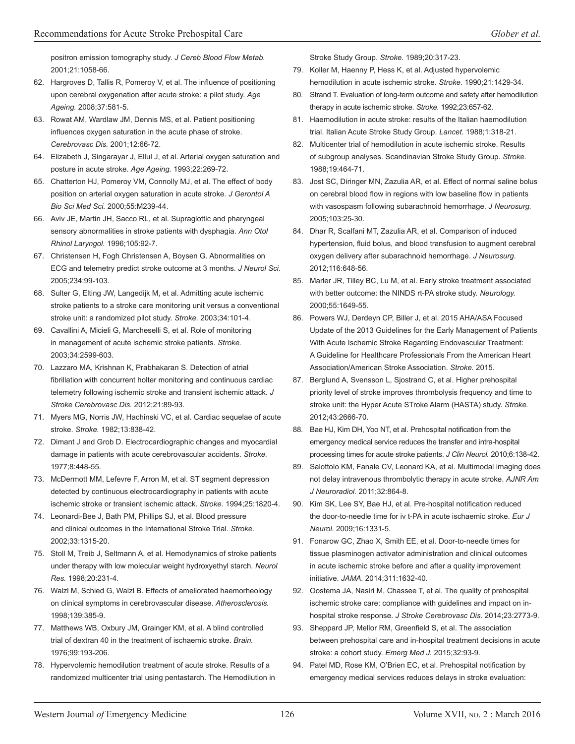positron emission tomography study. *J Cereb Blood Flow Metab.* 2001;21:1058-66.

- 62. Hargroves D, Tallis R, Pomeroy V, et al. The influence of positioning upon cerebral oxygenation after acute stroke: a pilot study. *Age Ageing.* 2008;37:581-5.
- 63. Rowat AM, Wardlaw JM, Dennis MS, et al. Patient positioning influences oxygen saturation in the acute phase of stroke. *Cerebrovasc Dis.* 2001;12:66-72.
- 64. Elizabeth J, Singarayar J, Ellul J, et al. Arterial oxygen saturation and posture in acute stroke. *Age Ageing.* 1993;22:269-72.
- 65. Chatterton HJ, Pomeroy VM, Connolly MJ, et al. The effect of body position on arterial oxygen saturation in acute stroke. *J Gerontol A Bio Sci Med Sci.* 2000;55:M239-44.
- 66. Aviv JE, Martin JH, Sacco RL, et al. Supraglottic and pharyngeal sensory abnormalities in stroke patients with dysphagia. *Ann Otol Rhinol Laryngol.* 1996;105:92-7.
- 67. Christensen H, Fogh Christensen A, Boysen G. Abnormalities on ECG and telemetry predict stroke outcome at 3 months. *J Neurol Sci.* 2005;234:99-103.
- 68. Sulter G, Elting JW, Langedijk M, et al. Admitting acute ischemic stroke patients to a stroke care monitoring unit versus a conventional stroke unit: a randomized pilot study. *Stroke.* 2003;34:101-4.
- 69. Cavallini A, Micieli G, Marcheselli S, et al. Role of monitoring in management of acute ischemic stroke patients. *Stroke.* 2003;34:2599-603.
- 70. Lazzaro MA, Krishnan K, Prabhakaran S. Detection of atrial fibrillation with concurrent holter monitoring and continuous cardiac telemetry following ischemic stroke and transient ischemic attack. *J Stroke Cerebrovasc Dis.* 2012;21:89-93.
- 71. Myers MG, Norris JW, Hachinski VC, et al. Cardiac sequelae of acute stroke. *Stroke.* 1982;13:838-42.
- 72. Dimant J and Grob D. Electrocardiographic changes and myocardial damage in patients with acute cerebrovascular accidents. *Stroke.* 1977;8:448-55.
- 73. McDermott MM, Lefevre F, Arron M, et al. ST segment depression detected by continuous electrocardiography in patients with acute ischemic stroke or transient ischemic attack. *Stroke.* 1994;25:1820-4.
- 74. Leonardi-Bee J, Bath PM, Phillips SJ, et al. Blood pressure and clinical outcomes in the International Stroke Trial. *Stroke.* 2002;33:1315-20.
- 75. Stoll M, Treib J, Seltmann A, et al. Hemodynamics of stroke patients under therapy with low molecular weight hydroxyethyl starch. *Neurol Res.* 1998;20:231-4.
- 76. Walzl M, Schied G, Walzl B. Effects of ameliorated haemorheology on clinical symptoms in cerebrovascular disease. *Atherosclerosis.* 1998;139:385-9.
- 77. Matthews WB, Oxbury JM, Grainger KM, et al. A blind controlled trial of dextran 40 in the treatment of ischaemic stroke. *Brain.* 1976;99:193-206.
- 78. Hypervolemic hemodilution treatment of acute stroke. Results of a randomized multicenter trial using pentastarch. The Hemodilution in

Stroke Study Group. *Stroke.* 1989;20:317-23.

- 79. Koller M, Haenny P, Hess K, et al. Adjusted hypervolemic hemodilution in acute ischemic stroke. *Stroke.* 1990;21:1429-34.
- 80. Strand T. Evaluation of long-term outcome and safety after hemodilution therapy in acute ischemic stroke. *Stroke.* 1992;23:657-62.
- 81. Haemodilution in acute stroke: results of the Italian haemodilution trial. Italian Acute Stroke Study Group. *Lancet.* 1988;1:318-21.
- 82. Multicenter trial of hemodilution in acute ischemic stroke. Results of subgroup analyses. Scandinavian Stroke Study Group. *Stroke.* 1988;19:464-71.
- 83. Jost SC, Diringer MN, Zazulia AR, et al. Effect of normal saline bolus on cerebral blood flow in regions with low baseline flow in patients with vasospasm following subarachnoid hemorrhage. *J Neurosurg.* 2005;103:25-30.
- 84. Dhar R, Scalfani MT, Zazulia AR, et al. Comparison of induced hypertension, fluid bolus, and blood transfusion to augment cerebral oxygen delivery after subarachnoid hemorrhage. *J Neurosurg.* 2012;116:648-56.
- 85. Marler JR, Tilley BC, Lu M, et al. Early stroke treatment associated with better outcome: the NINDS rt-PA stroke study. *Neurology.* 2000;55:1649-55.
- 86. Powers WJ, Derdeyn CP, Biller J, et al. 2015 AHA/ASA Focused Update of the 2013 Guidelines for the Early Management of Patients With Acute Ischemic Stroke Regarding Endovascular Treatment: A Guideline for Healthcare Professionals From the American Heart Association/American Stroke Association. *Stroke.* 2015.
- 87. Berglund A, Svensson L, Sjostrand C, et al. Higher prehospital priority level of stroke improves thrombolysis frequency and time to stroke unit: the Hyper Acute STroke Alarm (HASTA) study. *Stroke.* 2012;43:2666-70.
- 88. Bae HJ, Kim DH, Yoo NT, et al. Prehospital notification from the emergency medical service reduces the transfer and intra-hospital processing times for acute stroke patients. *J Clin Neurol.* 2010;6:138-42.
- 89. Salottolo KM, Fanale CV, Leonard KA, et al. Multimodal imaging does not delay intravenous thrombolytic therapy in acute stroke. *AJNR Am J Neuroradiol.* 2011;32:864-8.
- 90. Kim SK, Lee SY, Bae HJ, et al. Pre-hospital notification reduced the door-to-needle time for iv t-PA in acute ischaemic stroke. *Eur J Neurol.* 2009;16:1331-5.
- 91. Fonarow GC, Zhao X, Smith EE, et al. Door-to-needle times for tissue plasminogen activator administration and clinical outcomes in acute ischemic stroke before and after a quality improvement initiative. *JAMA.* 2014;311:1632-40.
- 92. Oostema JA, Nasiri M, Chassee T, et al. The quality of prehospital ischemic stroke care: compliance with guidelines and impact on inhospital stroke response. *J Stroke Cerebrovasc Dis.* 2014;23:2773-9.
- 93. Sheppard JP, Mellor RM, Greenfield S, et al. The association between prehospital care and in-hospital treatment decisions in acute stroke: a cohort study. *Emerg Med J.* 2015;32:93-9.
- 94. Patel MD, Rose KM, O'Brien EC, et al. Prehospital notification by emergency medical services reduces delays in stroke evaluation: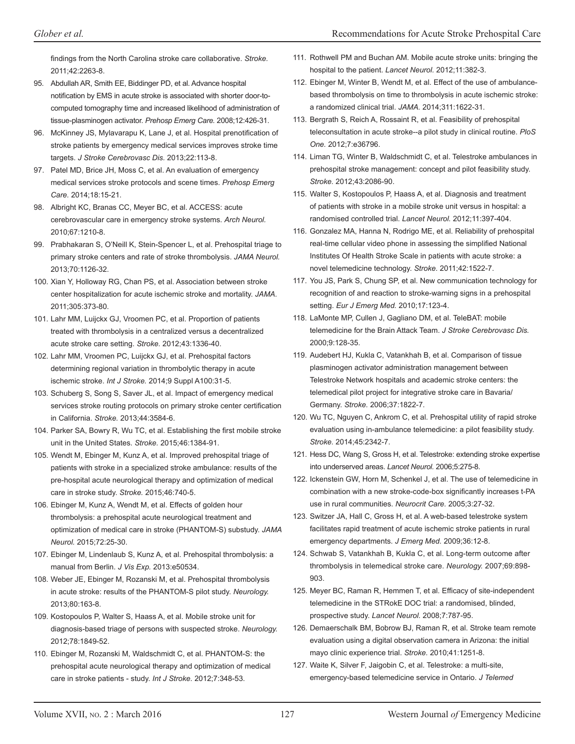findings from the North Carolina stroke care collaborative. *Stroke.* 2011;42:2263-8.

- 95. Abdullah AR, Smith EE, Biddinger PD, et al. Advance hospital notification by EMS in acute stroke is associated with shorter door-tocomputed tomography time and increased likelihood of administration of tissue-plasminogen activator. *Prehosp Emerg Care.* 2008;12:426-31.
- 96. McKinney JS, Mylavarapu K, Lane J, et al. Hospital prenotification of stroke patients by emergency medical services improves stroke time targets. *J Stroke Cerebrovasc Dis.* 2013;22:113-8.
- 97. Patel MD, Brice JH, Moss C, et al. An evaluation of emergency medical services stroke protocols and scene times. *Prehosp Emerg Care.* 2014;18:15-21.
- 98. Albright KC, Branas CC, Meyer BC, et al. ACCESS: acute cerebrovascular care in emergency stroke systems. *Arch Neurol.* 2010;67:1210-8.
- 99. Prabhakaran S, O'Neill K, Stein-Spencer L, et al. Prehospital triage to primary stroke centers and rate of stroke thrombolysis. *JAMA Neurol.* 2013;70:1126-32.
- 100. Xian Y, Holloway RG, Chan PS, et al. Association between stroke center hospitalization for acute ischemic stroke and mortality. *JAMA.* 2011;305:373-80.
- 101. Lahr MM, Luijckx GJ, Vroomen PC, et al. Proportion of patients treated with thrombolysis in a centralized versus a decentralized acute stroke care setting. *Stroke.* 2012;43:1336-40.
- 102. Lahr MM, Vroomen PC, Luijckx GJ, et al. Prehospital factors determining regional variation in thrombolytic therapy in acute ischemic stroke. *Int J Stroke.* 2014;9 Suppl A100:31-5.
- 103. Schuberg S, Song S, Saver JL, et al. Impact of emergency medical services stroke routing protocols on primary stroke center certification in California. *Stroke.* 2013;44:3584-6.
- 104. Parker SA, Bowry R, Wu TC, et al. Establishing the first mobile stroke unit in the United States. *Stroke.* 2015;46:1384-91.
- 105. Wendt M, Ebinger M, Kunz A, et al. Improved prehospital triage of patients with stroke in a specialized stroke ambulance: results of the pre-hospital acute neurological therapy and optimization of medical care in stroke study. *Stroke.* 2015;46:740-5.
- 106. Ebinger M, Kunz A, Wendt M, et al. Effects of golden hour thrombolysis: a prehospital acute neurological treatment and optimization of medical care in stroke (PHANTOM-S) substudy. *JAMA Neurol.* 2015;72:25-30.
- 107. Ebinger M, Lindenlaub S, Kunz A, et al. Prehospital thrombolysis: a manual from Berlin. *J Vis Exp.* 2013:e50534.
- 108. Weber JE, Ebinger M, Rozanski M, et al. Prehospital thrombolysis in acute stroke: results of the PHANTOM-S pilot study. *Neurology.* 2013;80:163-8.
- 109. Kostopoulos P, Walter S, Haass A, et al. Mobile stroke unit for diagnosis-based triage of persons with suspected stroke. *Neurology.* 2012;78:1849-52.
- 110. Ebinger M, Rozanski M, Waldschmidt C, et al. PHANTOM-S: the prehospital acute neurological therapy and optimization of medical care in stroke patients - study. *Int J Stroke.* 2012;7:348-53.
- 111. Rothwell PM and Buchan AM. Mobile acute stroke units: bringing the hospital to the patient. *Lancet Neurol.* 2012;11:382-3.
- 112. Ebinger M, Winter B, Wendt M, et al. Effect of the use of ambulancebased thrombolysis on time to thrombolysis in acute ischemic stroke: a randomized clinical trial. *JAMA.* 2014;311:1622-31.
- 113. Bergrath S, Reich A, Rossaint R, et al. Feasibility of prehospital teleconsultation in acute stroke--a pilot study in clinical routine. *PloS One.* 2012;7:e36796.
- 114. Liman TG, Winter B, Waldschmidt C, et al. Telestroke ambulances in prehospital stroke management: concept and pilot feasibility study. *Stroke.* 2012;43:2086-90.
- 115. Walter S, Kostopoulos P, Haass A, et al. Diagnosis and treatment of patients with stroke in a mobile stroke unit versus in hospital: a randomised controlled trial. *Lancet Neurol.* 2012;11:397-404.
- 116. Gonzalez MA, Hanna N, Rodrigo ME, et al. Reliability of prehospital real-time cellular video phone in assessing the simplified National Institutes Of Health Stroke Scale in patients with acute stroke: a novel telemedicine technology. *Stroke.* 2011;42:1522-7.
- 117. You JS, Park S, Chung SP, et al. New communication technology for recognition of and reaction to stroke-warning signs in a prehospital setting. *Eur J Emerg Med.* 2010;17:123-4.
- 118. LaMonte MP, Cullen J, Gagliano DM, et al. TeleBAT: mobile telemedicine for the Brain Attack Team. *J Stroke Cerebrovasc Dis.* 2000;9:128-35.
- 119. Audebert HJ, Kukla C, Vatankhah B, et al. Comparison of tissue plasminogen activator administration management between Telestroke Network hospitals and academic stroke centers: the telemedical pilot project for integrative stroke care in Bavaria/ Germany. *Stroke.* 2006;37:1822-7.
- 120. Wu TC, Nguyen C, Ankrom C, et al. Prehospital utility of rapid stroke evaluation using in-ambulance telemedicine: a pilot feasibility study. *Stroke.* 2014;45:2342-7.
- 121. Hess DC, Wang S, Gross H, et al. Telestroke: extending stroke expertise into underserved areas. *Lancet Neurol.* 2006;5:275-8.
- 122. Ickenstein GW, Horn M, Schenkel J, et al. The use of telemedicine in combination with a new stroke-code-box significantly increases t-PA use in rural communities. *Neurocrit Care.* 2005;3:27-32.
- 123. Switzer JA, Hall C, Gross H, et al. A web-based telestroke system facilitates rapid treatment of acute ischemic stroke patients in rural emergency departments. *J Emerg Med.* 2009;36:12-8.
- 124. Schwab S, Vatankhah B, Kukla C, et al. Long-term outcome after thrombolysis in telemedical stroke care. *Neurology.* 2007;69:898- 903.
- 125. Meyer BC, Raman R, Hemmen T, et al. Efficacy of site-independent telemedicine in the STRokE DOC trial: a randomised, blinded, prospective study. *Lancet Neurol.* 2008;7:787-95.
- 126. Demaerschalk BM, Bobrow BJ, Raman R, et al. Stroke team remote evaluation using a digital observation camera in Arizona: the initial mayo clinic experience trial. *Stroke.* 2010;41:1251-8.
- 127. Waite K, Silver F, Jaigobin C, et al. Telestroke: a multi-site, emergency-based telemedicine service in Ontario. *J Telemed*